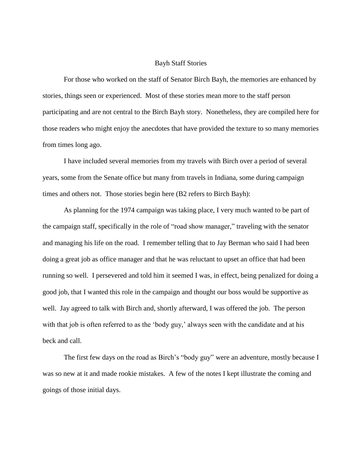# Bayh Staff Stories

For those who worked on the staff of Senator Birch Bayh, the memories are enhanced by stories, things seen or experienced. Most of these stories mean more to the staff person participating and are not central to the Birch Bayh story. Nonetheless, they are compiled here for those readers who might enjoy the anecdotes that have provided the texture to so many memories from times long ago.

I have included several memories from my travels with Birch over a period of several years, some from the Senate office but many from travels in Indiana, some during campaign times and others not. Those stories begin here (B2 refers to Birch Bayh):

As planning for the 1974 campaign was taking place, I very much wanted to be part of the campaign staff, specifically in the role of "road show manager," traveling with the senator and managing his life on the road. I remember telling that to Jay Berman who said I had been doing a great job as office manager and that he was reluctant to upset an office that had been running so well. I persevered and told him it seemed I was, in effect, being penalized for doing a good job, that I wanted this role in the campaign and thought our boss would be supportive as well. Jay agreed to talk with Birch and, shortly afterward, I was offered the job. The person with that job is often referred to as the 'body guy,' always seen with the candidate and at his beck and call.

The first few days on the road as Birch's "body guy" were an adventure, mostly because I was so new at it and made rookie mistakes. A few of the notes I kept illustrate the coming and goings of those initial days.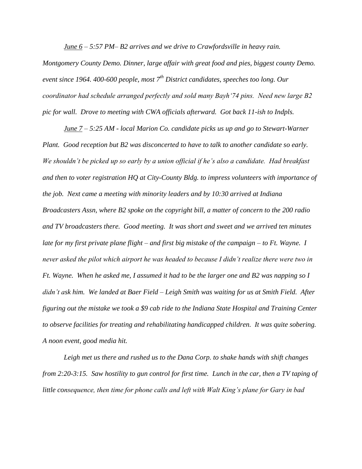*June 6 – 5:57 PM– B2 arrives and we drive to Crawfordsville in heavy rain.* 

*Montgomery County Demo. Dinner, large affair with great food and pies, biggest county Demo. event since 1964. 400-600 people, most 7th District candidates, speeches too long. Our coordinator had schedule arranged perfectly and sold many Bayh'74 pins. Need new large B2 pic for wall. Drove to meeting with CWA officials afterward. Got back 11-ish to Indpls.*

*June 7 – 5:25 AM - local Marion Co. candidate picks us up and go to Stewart-Warner Plant. Good reception but B2 was disconcerted to have to talk to another candidate so early. We shouldn't be picked up so early by a union official if he's also a candidate. Had breakfast and then to voter registration HQ at City-County Bldg. to impress volunteers with importance of the job. Next came a meeting with minority leaders and by 10:30 arrived at Indiana Broadcasters Assn, where B2 spoke on the copyright bill, a matter of concern to the 200 radio and TV broadcasters there. Good meeting. It was short and sweet and we arrived ten minutes late for my first private plane flight – and first big mistake of the campaign – to Ft. Wayne. I never asked the pilot which airport he was headed to because I didn't realize there were two in Ft. Wayne. When he asked me, I assumed it had to be the larger one and B2 was napping so I didn't ask him. We landed at Baer Field – Leigh Smith was waiting for us at Smith Field. After figuring out the mistake we took a \$9 cab ride to the Indiana State Hospital and Training Center to observe facilities for treating and rehabilitating handicapped children. It was quite sobering. A noon event, good media hit.*

*Leigh met us there and rushed us to the Dana Corp. to shake hands with shift changes from 2:20-3:15. Saw hostility to gun control for first time. Lunch in the car, then a TV taping of little consequence, then time for phone calls and left with Walt King's plane for Gary in bad*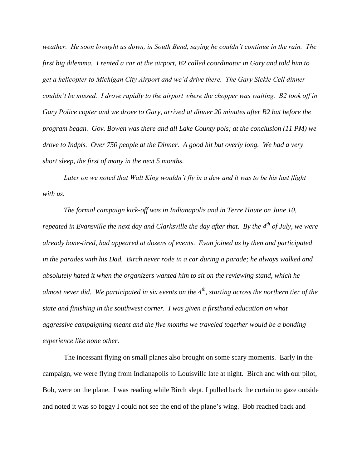*weather. He soon brought us down, in South Bend, saying he couldn't continue in the rain. The first big dilemma. I rented a car at the airport, B2 called coordinator in Gary and told him to get a helicopter to Michigan City Airport and we'd drive there. The Gary Sickle Cell dinner couldn't be missed. I drove rapidly to the airport where the chopper was waiting. B2 took off in Gary Police copter and we drove to Gary, arrived at dinner 20 minutes after B2 but before the program began. Gov. Bowen was there and all Lake County pols; at the conclusion (11 PM) we drove to Indpls. Over 750 people at the Dinner. A good hit but overly long. We had a very short sleep, the first of many in the next 5 months.*

*Later on we noted that Walt King wouldn't fly in a dew and it was to be his last flight with us.*

*The formal campaign kick-off was in Indianapolis and in Terre Haute on June 10, repeated in Evansville the next day and Clarksville the day after that. By the 4th of July, we were already bone-tired, had appeared at dozens of events. Evan joined us by then and participated in the parades with his Dad. Birch never rode in a car during a parade; he always walked and absolutely hated it when the organizers wanted him to sit on the reviewing stand, which he almost never did. We participated in six events on the 4th, starting across the northern tier of the state and finishing in the southwest corner. I was given a firsthand education on what aggressive campaigning meant and the five months we traveled together would be a bonding experience like none other.*

The incessant flying on small planes also brought on some scary moments. Early in the campaign, we were flying from Indianapolis to Louisville late at night. Birch and with our pilot, Bob, were on the plane. I was reading while Birch slept. I pulled back the curtain to gaze outside and noted it was so foggy I could not see the end of the plane's wing. Bob reached back and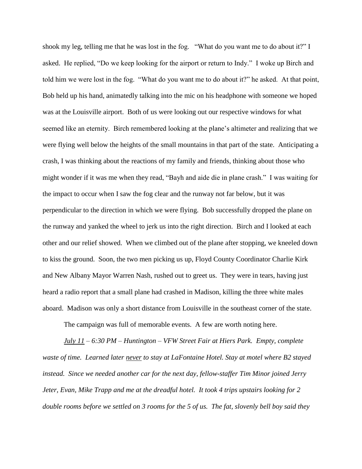shook my leg, telling me that he was lost in the fog. "What do you want me to do about it?" I asked. He replied, "Do we keep looking for the airport or return to Indy." I woke up Birch and told him we were lost in the fog. "What do you want me to do about it?" he asked. At that point, Bob held up his hand, animatedly talking into the mic on his headphone with someone we hoped was at the Louisville airport. Both of us were looking out our respective windows for what seemed like an eternity. Birch remembered looking at the plane's altimeter and realizing that we were flying well below the heights of the small mountains in that part of the state. Anticipating a crash, I was thinking about the reactions of my family and friends, thinking about those who might wonder if it was me when they read, "Bayh and aide die in plane crash." I was waiting for the impact to occur when I saw the fog clear and the runway not far below, but it was perpendicular to the direction in which we were flying. Bob successfully dropped the plane on the runway and yanked the wheel to jerk us into the right direction. Birch and I looked at each other and our relief showed. When we climbed out of the plane after stopping, we kneeled down to kiss the ground. Soon, the two men picking us up, Floyd County Coordinator Charlie Kirk and New Albany Mayor Warren Nash, rushed out to greet us. They were in tears, having just heard a radio report that a small plane had crashed in Madison, killing the three white males aboard. Madison was only a short distance from Louisville in the southeast corner of the state.

The campaign was full of memorable events. A few are worth noting here.

*July 11 – 6:30 PM – Huntington – VFW Street Fair at Hiers Park. Empty, complete waste of time. Learned later never to stay at LaFontaine Hotel. Stay at motel where B2 stayed instead. Since we needed another car for the next day, fellow-staffer Tim Minor joined Jerry Jeter, Evan, Mike Trapp and me at the dreadful hotel. It took 4 trips upstairs looking for 2 double rooms before we settled on 3 rooms for the 5 of us. The fat, slovenly bell boy said they*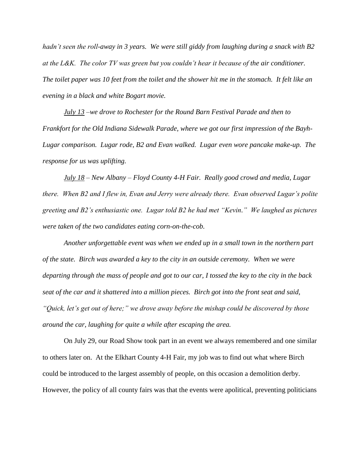*hadn't seen the roll-away in 3 years. We were still giddy from laughing during a snack with B2 at the L&K. The color TV was green but you couldn't hear it because of the air conditioner. The toilet paper was 10 feet from the toilet and the shower hit me in the stomach. It felt like an evening in a black and white Bogart movie.*

*July 13 –we drove to Rochester for the Round Barn Festival Parade and then to Frankfort for the Old Indiana Sidewalk Parade, where we got our first impression of the Bayh-Lugar comparison. Lugar rode, B2 and Evan walked. Lugar even wore pancake make-up. The response for us was uplifting.* 

*July 18 – New Albany – Floyd County 4-H Fair. Really good crowd and media, Lugar there. When B2 and I flew in, Evan and Jerry were already there. Evan observed Lugar's polite greeting and B2's enthusiastic one. Lugar told B2 he had met "Kevin." We laughed as pictures were taken of the two candidates eating corn-on-the-cob.*

*Another unforgettable event was when we ended up in a small town in the northern part of the state. Birch was awarded a key to the city in an outside ceremony. When we were departing through the mass of people and got to our car, I tossed the key to the city in the back seat of the car and it shattered into a million pieces. Birch got into the front seat and said, "Quick, let's get out of here;" we drove away before the mishap could be discovered by those around the car, laughing for quite a while after escaping the area.*

On July 29, our Road Show took part in an event we always remembered and one similar to others later on. At the Elkhart County 4-H Fair, my job was to find out what where Birch could be introduced to the largest assembly of people, on this occasion a demolition derby. However, the policy of all county fairs was that the events were apolitical, preventing politicians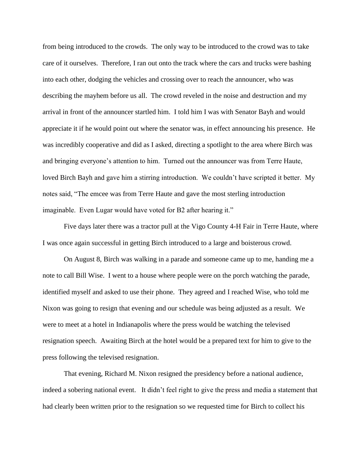from being introduced to the crowds. The only way to be introduced to the crowd was to take care of it ourselves. Therefore, I ran out onto the track where the cars and trucks were bashing into each other, dodging the vehicles and crossing over to reach the announcer, who was describing the mayhem before us all. The crowd reveled in the noise and destruction and my arrival in front of the announcer startled him. I told him I was with Senator Bayh and would appreciate it if he would point out where the senator was, in effect announcing his presence. He was incredibly cooperative and did as I asked, directing a spotlight to the area where Birch was and bringing everyone's attention to him. Turned out the announcer was from Terre Haute, loved Birch Bayh and gave him a stirring introduction. We couldn't have scripted it better. My notes said, "The emcee was from Terre Haute and gave the most sterling introduction imaginable. Even Lugar would have voted for B2 after hearing it."

Five days later there was a tractor pull at the Vigo County 4-H Fair in Terre Haute, where I was once again successful in getting Birch introduced to a large and boisterous crowd.

On August 8, Birch was walking in a parade and someone came up to me, handing me a note to call Bill Wise. I went to a house where people were on the porch watching the parade, identified myself and asked to use their phone. They agreed and I reached Wise, who told me Nixon was going to resign that evening and our schedule was being adjusted as a result. We were to meet at a hotel in Indianapolis where the press would be watching the televised resignation speech. Awaiting Birch at the hotel would be a prepared text for him to give to the press following the televised resignation.

That evening, Richard M. Nixon resigned the presidency before a national audience, indeed a sobering national event. It didn't feel right to give the press and media a statement that had clearly been written prior to the resignation so we requested time for Birch to collect his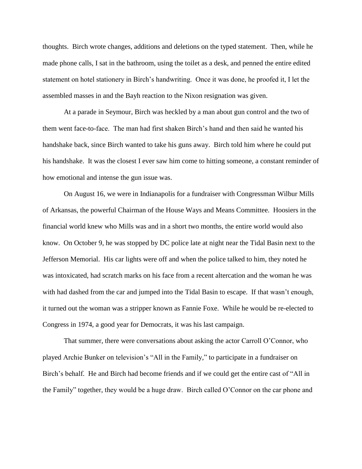thoughts. Birch wrote changes, additions and deletions on the typed statement. Then, while he made phone calls, I sat in the bathroom, using the toilet as a desk, and penned the entire edited statement on hotel stationery in Birch's handwriting. Once it was done, he proofed it, I let the assembled masses in and the Bayh reaction to the Nixon resignation was given.

At a parade in Seymour, Birch was heckled by a man about gun control and the two of them went face-to-face. The man had first shaken Birch's hand and then said he wanted his handshake back, since Birch wanted to take his guns away. Birch told him where he could put his handshake. It was the closest I ever saw him come to hitting someone, a constant reminder of how emotional and intense the gun issue was.

On August 16, we were in Indianapolis for a fundraiser with Congressman Wilbur Mills of Arkansas, the powerful Chairman of the House Ways and Means Committee. Hoosiers in the financial world knew who Mills was and in a short two months, the entire world would also know. On October 9, he was stopped by DC police late at night near the Tidal Basin next to the Jefferson Memorial. His car lights were off and when the police talked to him, they noted he was intoxicated, had scratch marks on his face from a recent altercation and the woman he was with had dashed from the car and jumped into the Tidal Basin to escape. If that wasn't enough, it turned out the woman was a stripper known as Fannie Foxe. While he would be re-elected to Congress in 1974, a good year for Democrats, it was his last campaign.

That summer, there were conversations about asking the actor Carroll O'Connor, who played Archie Bunker on television's "All in the Family," to participate in a fundraiser on Birch's behalf. He and Birch had become friends and if we could get the entire cast of "All in the Family" together, they would be a huge draw. Birch called O'Connor on the car phone and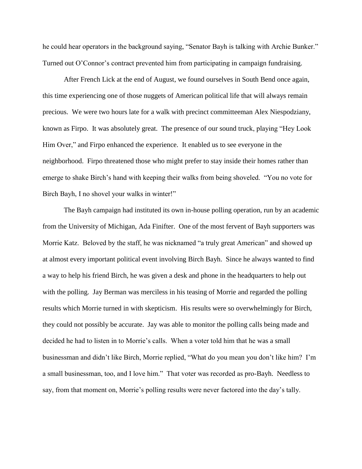he could hear operators in the background saying, "Senator Bayh is talking with Archie Bunker." Turned out O'Connor's contract prevented him from participating in campaign fundraising.

After French Lick at the end of August, we found ourselves in South Bend once again, this time experiencing one of those nuggets of American political life that will always remain precious. We were two hours late for a walk with precinct committeeman Alex Niespodziany, known as Firpo. It was absolutely great. The presence of our sound truck, playing "Hey Look Him Over," and Firpo enhanced the experience. It enabled us to see everyone in the neighborhood. Firpo threatened those who might prefer to stay inside their homes rather than emerge to shake Birch's hand with keeping their walks from being shoveled. "You no vote for Birch Bayh, I no shovel your walks in winter!"

The Bayh campaign had instituted its own in-house polling operation, run by an academic from the University of Michigan, Ada Finifter. One of the most fervent of Bayh supporters was Morrie Katz. Beloved by the staff, he was nicknamed "a truly great American" and showed up at almost every important political event involving Birch Bayh. Since he always wanted to find a way to help his friend Birch, he was given a desk and phone in the headquarters to help out with the polling. Jay Berman was merciless in his teasing of Morrie and regarded the polling results which Morrie turned in with skepticism. His results were so overwhelmingly for Birch, they could not possibly be accurate. Jay was able to monitor the polling calls being made and decided he had to listen in to Morrie's calls. When a voter told him that he was a small businessman and didn't like Birch, Morrie replied, "What do you mean you don't like him? I'm a small businessman, too, and I love him." That voter was recorded as pro-Bayh. Needless to say, from that moment on, Morrie's polling results were never factored into the day's tally.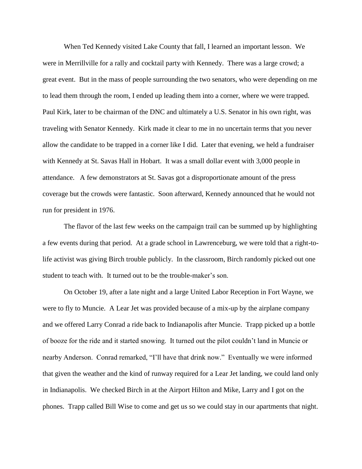When Ted Kennedy visited Lake County that fall, I learned an important lesson. We were in Merrillville for a rally and cocktail party with Kennedy. There was a large crowd; a great event. But in the mass of people surrounding the two senators, who were depending on me to lead them through the room, I ended up leading them into a corner, where we were trapped. Paul Kirk, later to be chairman of the DNC and ultimately a U.S. Senator in his own right, was traveling with Senator Kennedy. Kirk made it clear to me in no uncertain terms that you never allow the candidate to be trapped in a corner like I did. Later that evening, we held a fundraiser with Kennedy at St. Savas Hall in Hobart. It was a small dollar event with 3,000 people in attendance. A few demonstrators at St. Savas got a disproportionate amount of the press coverage but the crowds were fantastic. Soon afterward, Kennedy announced that he would not run for president in 1976.

The flavor of the last few weeks on the campaign trail can be summed up by highlighting a few events during that period. At a grade school in Lawrenceburg, we were told that a right-tolife activist was giving Birch trouble publicly. In the classroom, Birch randomly picked out one student to teach with. It turned out to be the trouble-maker's son.

On October 19, after a late night and a large United Labor Reception in Fort Wayne, we were to fly to Muncie. A Lear Jet was provided because of a mix-up by the airplane company and we offered Larry Conrad a ride back to Indianapolis after Muncie. Trapp picked up a bottle of booze for the ride and it started snowing. It turned out the pilot couldn't land in Muncie or nearby Anderson. Conrad remarked, "I'll have that drink now." Eventually we were informed that given the weather and the kind of runway required for a Lear Jet landing, we could land only in Indianapolis. We checked Birch in at the Airport Hilton and Mike, Larry and I got on the phones. Trapp called Bill Wise to come and get us so we could stay in our apartments that night.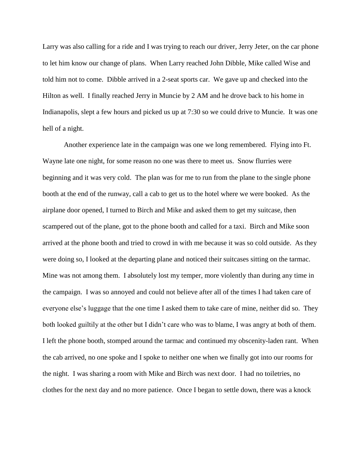Larry was also calling for a ride and I was trying to reach our driver, Jerry Jeter, on the car phone to let him know our change of plans. When Larry reached John Dibble, Mike called Wise and told him not to come. Dibble arrived in a 2-seat sports car. We gave up and checked into the Hilton as well. I finally reached Jerry in Muncie by 2 AM and he drove back to his home in Indianapolis, slept a few hours and picked us up at 7:30 so we could drive to Muncie. It was one hell of a night.

Another experience late in the campaign was one we long remembered. Flying into Ft. Wayne late one night, for some reason no one was there to meet us. Snow flurries were beginning and it was very cold. The plan was for me to run from the plane to the single phone booth at the end of the runway, call a cab to get us to the hotel where we were booked. As the airplane door opened, I turned to Birch and Mike and asked them to get my suitcase, then scampered out of the plane, got to the phone booth and called for a taxi. Birch and Mike soon arrived at the phone booth and tried to crowd in with me because it was so cold outside. As they were doing so, I looked at the departing plane and noticed their suitcases sitting on the tarmac. Mine was not among them. I absolutely lost my temper, more violently than during any time in the campaign. I was so annoyed and could not believe after all of the times I had taken care of everyone else's luggage that the one time I asked them to take care of mine, neither did so. They both looked guiltily at the other but I didn't care who was to blame, I was angry at both of them. I left the phone booth, stomped around the tarmac and continued my obscenity-laden rant. When the cab arrived, no one spoke and I spoke to neither one when we finally got into our rooms for the night. I was sharing a room with Mike and Birch was next door. I had no toiletries, no clothes for the next day and no more patience. Once I began to settle down, there was a knock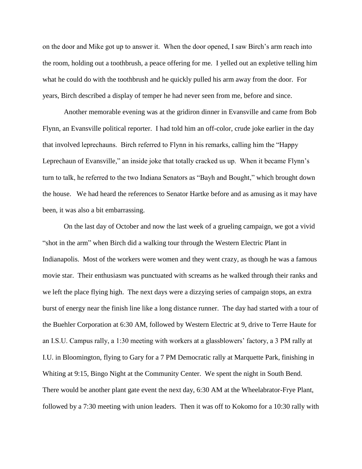on the door and Mike got up to answer it. When the door opened, I saw Birch's arm reach into the room, holding out a toothbrush, a peace offering for me. I yelled out an expletive telling him what he could do with the toothbrush and he quickly pulled his arm away from the door. For years, Birch described a display of temper he had never seen from me, before and since.

Another memorable evening was at the gridiron dinner in Evansville and came from Bob Flynn, an Evansville political reporter. I had told him an off-color, crude joke earlier in the day that involved leprechauns. Birch referred to Flynn in his remarks, calling him the "Happy Leprechaun of Evansville," an inside joke that totally cracked us up. When it became Flynn's turn to talk, he referred to the two Indiana Senators as "Bayh and Bought," which brought down the house. We had heard the references to Senator Hartke before and as amusing as it may have been, it was also a bit embarrassing.

On the last day of October and now the last week of a grueling campaign, we got a vivid "shot in the arm" when Birch did a walking tour through the Western Electric Plant in Indianapolis. Most of the workers were women and they went crazy, as though he was a famous movie star. Their enthusiasm was punctuated with screams as he walked through their ranks and we left the place flying high. The next days were a dizzying series of campaign stops, an extra burst of energy near the finish line like a long distance runner. The day had started with a tour of the Buehler Corporation at 6:30 AM, followed by Western Electric at 9, drive to Terre Haute for an I.S.U. Campus rally, a 1:30 meeting with workers at a glassblowers' factory, a 3 PM rally at I.U. in Bloomington, flying to Gary for a 7 PM Democratic rally at Marquette Park, finishing in Whiting at 9:15, Bingo Night at the Community Center. We spent the night in South Bend. There would be another plant gate event the next day, 6:30 AM at the Wheelabrator-Frye Plant, followed by a 7:30 meeting with union leaders. Then it was off to Kokomo for a 10:30 rally with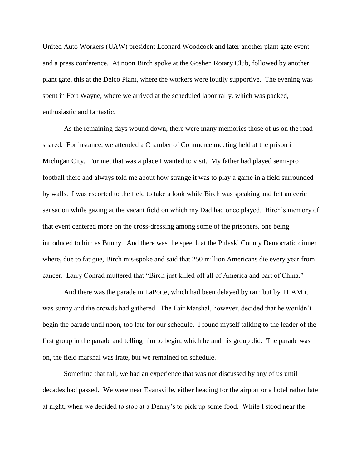United Auto Workers (UAW) president Leonard Woodcock and later another plant gate event and a press conference. At noon Birch spoke at the Goshen Rotary Club, followed by another plant gate, this at the Delco Plant, where the workers were loudly supportive. The evening was spent in Fort Wayne, where we arrived at the scheduled labor rally, which was packed, enthusiastic and fantastic.

As the remaining days wound down, there were many memories those of us on the road shared. For instance, we attended a Chamber of Commerce meeting held at the prison in Michigan City. For me, that was a place I wanted to visit. My father had played semi-pro football there and always told me about how strange it was to play a game in a field surrounded by walls. I was escorted to the field to take a look while Birch was speaking and felt an eerie sensation while gazing at the vacant field on which my Dad had once played. Birch's memory of that event centered more on the cross-dressing among some of the prisoners, one being introduced to him as Bunny. And there was the speech at the Pulaski County Democratic dinner where, due to fatigue, Birch mis-spoke and said that 250 million Americans die every year from cancer. Larry Conrad muttered that "Birch just killed off all of America and part of China."

And there was the parade in LaPorte, which had been delayed by rain but by 11 AM it was sunny and the crowds had gathered. The Fair Marshal, however, decided that he wouldn't begin the parade until noon, too late for our schedule. I found myself talking to the leader of the first group in the parade and telling him to begin, which he and his group did. The parade was on, the field marshal was irate, but we remained on schedule.

Sometime that fall, we had an experience that was not discussed by any of us until decades had passed. We were near Evansville, either heading for the airport or a hotel rather late at night, when we decided to stop at a Denny's to pick up some food. While I stood near the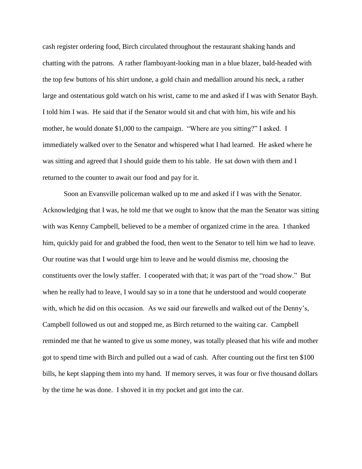cash register ordering food, Birch circulated throughout the restaurant shaking hands and chatting with the patrons. A rather flamboyant-looking man in a blue blazer, bald-headed with the top few buttons of his shirt undone, a gold chain and medallion around his neck, a rather large and ostentatious gold watch on his wrist, came to me and asked if I was with Senator Bayh. I told him I was. He said that if the Senator would sit and chat with him, his wife and his mother, he would donate \$1,000 to the campaign. "Where are you sitting?" I asked. I immediately walked over to the Senator and whispered what I had learned. He asked where he was sitting and agreed that I should guide them to his table. He sat down with them and I returned to the counter to await our food and pay for it.

Soon an Evansville policeman walked up to me and asked if I was with the Senator. Acknowledging that I was, he told me that we ought to know that the man the Senator was sitting with was Kenny Campbell, believed to be a member of organized crime in the area. I thanked him, quickly paid for and grabbed the food, then went to the Senator to tell him we had to leave. Our routine was that I would urge him to leave and he would dismiss me, choosing the constituents over the lowly staffer. I cooperated with that; it was part of the "road show." But when he really had to leave, I would say so in a tone that he understood and would cooperate with, which he did on this occasion. As we said our farewells and walked out of the Denny's, Campbell followed us out and stopped me, as Birch returned to the waiting car. Campbell reminded me that he wanted to give us some money, was totally pleased that his wife and mother got to spend time with Birch and pulled out a wad of cash. After counting out the first ten \$100 bills, he kept slapping them into my hand. If memory serves, it was four or five thousand dollars by the time he was done. I shoved it in my pocket and got into the car.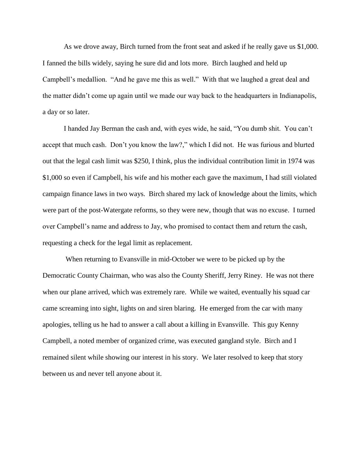As we drove away, Birch turned from the front seat and asked if he really gave us \$1,000. I fanned the bills widely, saying he sure did and lots more. Birch laughed and held up Campbell's medallion. "And he gave me this as well." With that we laughed a great deal and the matter didn't come up again until we made our way back to the headquarters in Indianapolis, a day or so later.

I handed Jay Berman the cash and, with eyes wide, he said, "You dumb shit. You can't accept that much cash. Don't you know the law?," which I did not. He was furious and blurted out that the legal cash limit was \$250, I think, plus the individual contribution limit in 1974 was \$1,000 so even if Campbell, his wife and his mother each gave the maximum, I had still violated campaign finance laws in two ways. Birch shared my lack of knowledge about the limits, which were part of the post-Watergate reforms, so they were new, though that was no excuse. I turned over Campbell's name and address to Jay, who promised to contact them and return the cash, requesting a check for the legal limit as replacement.

When returning to Evansville in mid-October we were to be picked up by the Democratic County Chairman, who was also the County Sheriff, Jerry Riney. He was not there when our plane arrived, which was extremely rare. While we waited, eventually his squad car came screaming into sight, lights on and siren blaring. He emerged from the car with many apologies, telling us he had to answer a call about a killing in Evansville. This guy Kenny Campbell, a noted member of organized crime, was executed gangland style. Birch and I remained silent while showing our interest in his story. We later resolved to keep that story between us and never tell anyone about it.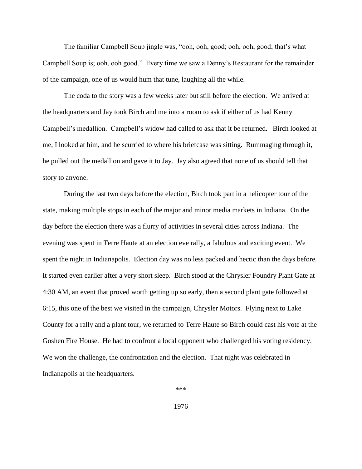The familiar Campbell Soup jingle was, "ooh, ooh, good; ooh, ooh, good; that's what Campbell Soup is; ooh, ooh good." Every time we saw a Denny's Restaurant for the remainder of the campaign, one of us would hum that tune, laughing all the while.

The coda to the story was a few weeks later but still before the election. We arrived at the headquarters and Jay took Birch and me into a room to ask if either of us had Kenny Campbell's medallion. Campbell's widow had called to ask that it be returned. Birch looked at me, I looked at him, and he scurried to where his briefcase was sitting. Rummaging through it, he pulled out the medallion and gave it to Jay. Jay also agreed that none of us should tell that story to anyone.

During the last two days before the election, Birch took part in a helicopter tour of the state, making multiple stops in each of the major and minor media markets in Indiana. On the day before the election there was a flurry of activities in several cities across Indiana. The evening was spent in Terre Haute at an election eve rally, a fabulous and exciting event. We spent the night in Indianapolis. Election day was no less packed and hectic than the days before. It started even earlier after a very short sleep. Birch stood at the Chrysler Foundry Plant Gate at 4:30 AM, an event that proved worth getting up so early, then a second plant gate followed at 6:15, this one of the best we visited in the campaign, Chrysler Motors. Flying next to Lake County for a rally and a plant tour, we returned to Terre Haute so Birch could cast his vote at the Goshen Fire House. He had to confront a local opponent who challenged his voting residency. We won the challenge, the confrontation and the election. That night was celebrated in Indianapolis at the headquarters.

\*\*\*

1976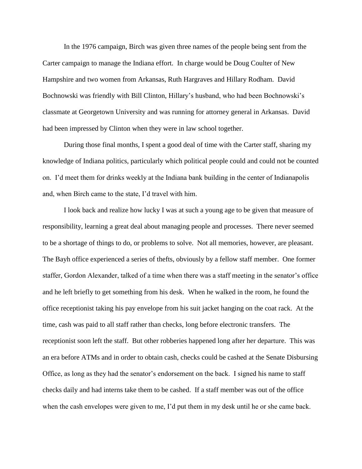In the 1976 campaign, Birch was given three names of the people being sent from the Carter campaign to manage the Indiana effort. In charge would be Doug Coulter of New Hampshire and two women from Arkansas, Ruth Hargraves and Hillary Rodham. David Bochnowski was friendly with Bill Clinton, Hillary's husband, who had been Bochnowski's classmate at Georgetown University and was running for attorney general in Arkansas. David had been impressed by Clinton when they were in law school together.

During those final months, I spent a good deal of time with the Carter staff, sharing my knowledge of Indiana politics, particularly which political people could and could not be counted on. I'd meet them for drinks weekly at the Indiana bank building in the center of Indianapolis and, when Birch came to the state, I'd travel with him.

I look back and realize how lucky I was at such a young age to be given that measure of responsibility, learning a great deal about managing people and processes. There never seemed to be a shortage of things to do, or problems to solve. Not all memories, however, are pleasant. The Bayh office experienced a series of thefts, obviously by a fellow staff member. One former staffer, Gordon Alexander, talked of a time when there was a staff meeting in the senator's office and he left briefly to get something from his desk. When he walked in the room, he found the office receptionist taking his pay envelope from his suit jacket hanging on the coat rack. At the time, cash was paid to all staff rather than checks, long before electronic transfers. The receptionist soon left the staff. But other robberies happened long after her departure. This was an era before ATMs and in order to obtain cash, checks could be cashed at the Senate Disbursing Office, as long as they had the senator's endorsement on the back. I signed his name to staff checks daily and had interns take them to be cashed. If a staff member was out of the office when the cash envelopes were given to me, I'd put them in my desk until he or she came back.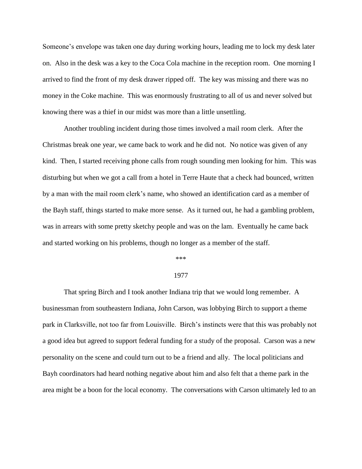Someone's envelope was taken one day during working hours, leading me to lock my desk later on. Also in the desk was a key to the Coca Cola machine in the reception room. One morning I arrived to find the front of my desk drawer ripped off. The key was missing and there was no money in the Coke machine. This was enormously frustrating to all of us and never solved but knowing there was a thief in our midst was more than a little unsettling.

Another troubling incident during those times involved a mail room clerk. After the Christmas break one year, we came back to work and he did not. No notice was given of any kind. Then, I started receiving phone calls from rough sounding men looking for him. This was disturbing but when we got a call from a hotel in Terre Haute that a check had bounced, written by a man with the mail room clerk's name, who showed an identification card as a member of the Bayh staff, things started to make more sense. As it turned out, he had a gambling problem, was in arrears with some pretty sketchy people and was on the lam. Eventually he came back and started working on his problems, though no longer as a member of the staff.

### \*\*\*

## 1977

That spring Birch and I took another Indiana trip that we would long remember. A businessman from southeastern Indiana, John Carson, was lobbying Birch to support a theme park in Clarksville, not too far from Louisville. Birch's instincts were that this was probably not a good idea but agreed to support federal funding for a study of the proposal. Carson was a new personality on the scene and could turn out to be a friend and ally. The local politicians and Bayh coordinators had heard nothing negative about him and also felt that a theme park in the area might be a boon for the local economy. The conversations with Carson ultimately led to an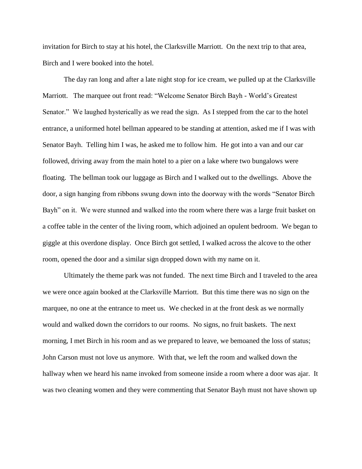invitation for Birch to stay at his hotel, the Clarksville Marriott. On the next trip to that area, Birch and I were booked into the hotel.

The day ran long and after a late night stop for ice cream, we pulled up at the Clarksville Marriott. The marquee out front read: "Welcome Senator Birch Bayh - World's Greatest Senator." We laughed hysterically as we read the sign. As I stepped from the car to the hotel entrance, a uniformed hotel bellman appeared to be standing at attention, asked me if I was with Senator Bayh. Telling him I was, he asked me to follow him. He got into a van and our car followed, driving away from the main hotel to a pier on a lake where two bungalows were floating. The bellman took our luggage as Birch and I walked out to the dwellings. Above the door, a sign hanging from ribbons swung down into the doorway with the words "Senator Birch Bayh" on it. We were stunned and walked into the room where there was a large fruit basket on a coffee table in the center of the living room, which adjoined an opulent bedroom. We began to giggle at this overdone display. Once Birch got settled, I walked across the alcove to the other room, opened the door and a similar sign dropped down with my name on it.

Ultimately the theme park was not funded. The next time Birch and I traveled to the area we were once again booked at the Clarksville Marriott. But this time there was no sign on the marquee, no one at the entrance to meet us. We checked in at the front desk as we normally would and walked down the corridors to our rooms. No signs, no fruit baskets. The next morning, I met Birch in his room and as we prepared to leave, we bemoaned the loss of status; John Carson must not love us anymore. With that, we left the room and walked down the hallway when we heard his name invoked from someone inside a room where a door was ajar. It was two cleaning women and they were commenting that Senator Bayh must not have shown up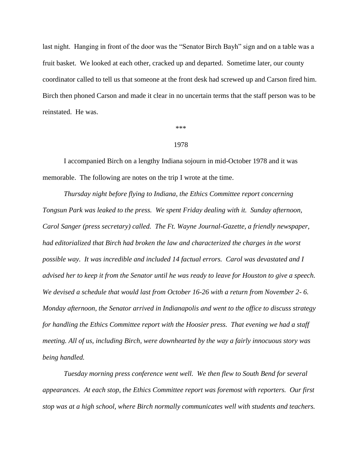last night. Hanging in front of the door was the "Senator Birch Bayh" sign and on a table was a fruit basket. We looked at each other, cracked up and departed. Sometime later, our county coordinator called to tell us that someone at the front desk had screwed up and Carson fired him. Birch then phoned Carson and made it clear in no uncertain terms that the staff person was to be reinstated. He was.

\*\*\*

## 1978

I accompanied Birch on a lengthy Indiana sojourn in mid-October 1978 and it was memorable. The following are notes on the trip I wrote at the time.

*Thursday night before flying to Indiana, the Ethics Committee report concerning Tongsun Park was leaked to the press. We spent Friday dealing with it. Sunday afternoon, Carol Sanger (press secretary) called. The Ft. Wayne Journal-Gazette, a friendly newspaper, had editorialized that Birch had broken the law and characterized the charges in the worst possible way. It was incredible and included 14 factual errors. Carol was devastated and I advised her to keep it from the Senator until he was ready to leave for Houston to give a speech. We devised a schedule that would last from October 16-26 with a return from November 2- 6. Monday afternoon, the Senator arrived in Indianapolis and went to the office to discuss strategy for handling the Ethics Committee report with the Hoosier press. That evening we had a staff meeting. All of us, including Birch, were downhearted by the way a fairly innocuous story was being handled.*

*Tuesday morning press conference went well. We then flew to South Bend for several appearances. At each stop, the Ethics Committee report was foremost with reporters. Our first stop was at a high school, where Birch normally communicates well with students and teachers.*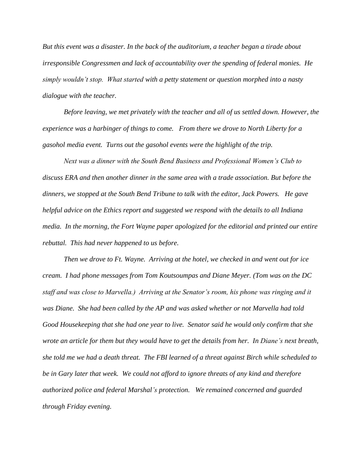*But this event was a disaster. In the back of the auditorium, a teacher began a tirade about irresponsible Congressmen and lack of accountability over the spending of federal monies. He simply wouldn't stop. What started with a petty statement or question morphed into a nasty dialogue with the teacher.*

*Before leaving, we met privately with the teacher and all of us settled down. However, the experience was a harbinger of things to come. From there we drove to North Liberty for a gasohol media event. Turns out the gasohol events were the highlight of the trip.*

*Next was a dinner with the South Bend Business and Professional Women's Club to discuss ERA and then another dinner in the same area with a trade association. But before the dinners, we stopped at the South Bend Tribune to talk with the editor, Jack Powers. He gave helpful advice on the Ethics report and suggested we respond with the details to all Indiana media. In the morning, the Fort Wayne paper apologized for the editorial and printed our entire rebuttal. This had never happened to us before.* 

*Then we drove to Ft. Wayne. Arriving at the hotel, we checked in and went out for ice cream. I had phone messages from Tom Koutsoumpas and Diane Meyer. (Tom was on the DC staff and was close to Marvella.) Arriving at the Senator's room, his phone was ringing and it was Diane. She had been called by the AP and was asked whether or not Marvella had told Good Housekeeping that she had one year to live. Senator said he would only confirm that she wrote an article for them but they would have to get the details from her. In Diane's next breath, she told me we had a death threat. The FBI learned of a threat against Birch while scheduled to be in Gary later that week. We could not afford to ignore threats of any kind and therefore authorized police and federal Marshal's protection. We remained concerned and guarded through Friday evening.*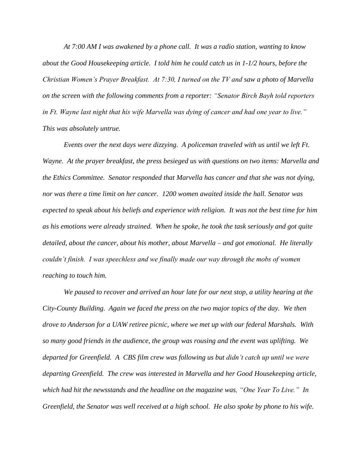*At 7:00 AM I was awakened by a phone call. It was a radio station, wanting to know about the Good Housekeeping article. I told him he could catch us in 1-1/2 hours, before the Christian Women's Prayer Breakfast. At 7:30, I turned on the TV and saw a photo of Marvella on the screen with the following comments from a reporter: "Senator Birch Bayh told reporters in Ft. Wayne last night that his wife Marvella was dying of cancer and had one year to live." This was absolutely untrue.*

*Events over the next days were dizzying. A policeman traveled with us until we left Ft. Wayne. At the prayer breakfast, the press besieged us with questions on two items: Marvella and the Ethics Committee. Senator responded that Marvella has cancer and that she was not dying, nor was there a time limit on her cancer. 1200 women awaited inside the hall. Senator was expected to speak about his beliefs and experience with religion. It was not the best time for him as his emotions were already strained. When he spoke, he took the task seriously and got quite detailed, about the cancer, about his mother, about Marvella – and got emotional. He literally couldn't finish. I was speechless and we finally made our way through the mobs of women reaching to touch him.* 

*We paused to recover and arrived an hour late for our next stop, a utility hearing at the City-County Building. Again we faced the press on the two major topics of the day. We then drove to Anderson for a UAW retiree picnic, where we met up with our federal Marshals. With so many good friends in the audience, the group was rousing and the event was uplifting. We departed for Greenfield. A CBS film crew was following us but didn't catch up until we were departing Greenfield. The crew was interested in Marvella and her Good Housekeeping article, which had hit the newsstands and the headline on the magazine was, "One Year To Live." In Greenfield, the Senator was well received at a high school. He also spoke by phone to his wife.*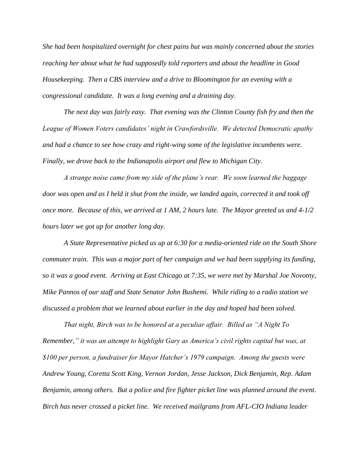*She had been hospitalized overnight for chest pains but was mainly concerned about the stories reaching her about what he had supposedly told reporters and about the headline in Good Housekeeping. Then a CBS interview and a drive to Bloomington for an evening with a congressional candidate. It was a long evening and a draining day.*

*The next day was fairly easy. That evening was the Clinton County fish fry and then the League of Women Voters candidates' night in Crawfordsville. We detected Democratic apathy and had a chance to see how crazy and right-wing some of the legislative incumbents were. Finally, we drove back to the Indianapolis airport and flew to Michigan City.* 

*A strange noise came from my side of the plane's rear. We soon learned the baggage door was open and as I held it shut from the inside, we landed again, corrected it and took off once more. Because of this, we arrived at 1 AM, 2 hours late. The Mayor greeted us and 4-1/2 hours later we got up for another long day.* 

*A State Representative picked us up at 6:30 for a media-oriented ride on the South Shore commuter train. This was a major part of her campaign and we had been supplying its funding, so it was a good event. Arriving at East Chicago at 7:35, we were met by Marshal Joe Novotny, Mike Pannos of our staff and State Senator John Bushemi. While riding to a radio station we discussed a problem that we learned about earlier in the day and hoped had been solved.*

*That night, Birch was to be honored at a peculiar affair. Billed as "A Night To Remember," it was an attempt to highlight Gary as America's civil rights capital but was, at \$100 per person, a fundraiser for Mayor Hatcher's 1979 campaign. Among the guests were Andrew Young, Coretta Scott King, Vernon Jordan, Jesse Jackson, Dick Benjamin, Rep. Adam Benjamin, among others. But a police and fire fighter picket line was planned around the event. Birch has never crossed a picket line. We received mailgrams from AFL-CIO Indiana leader*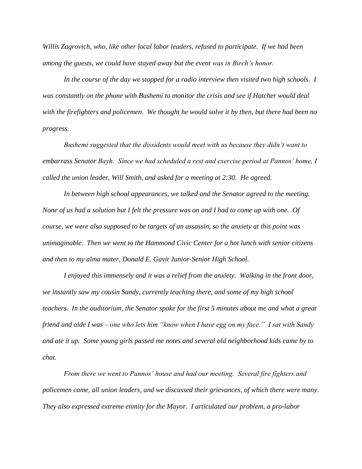*Willis Zagrovich, who, like other local labor leaders, refused to participate. If we had been among the guests, we could have stayed away but the event was in Birch's honor.* 

*In the course of the day we stopped for a radio interview then visited two high schools. I was constantly on the phone with Bushemi to monitor the crisis and see if Hatcher would deal with the firefighters and policemen. We thought he would solve it by then, but there had been no progress.*

*Bushemi suggested that the dissidents would meet with us because they didn't want to embarrass Senator Bayh. Since we had scheduled a rest and exercise period at Pannos' home, I called the union leader, Will Smith, and asked for a meeting at 2:30. He agreed.*

In between high school appearances, we talked and the Senator agreed to the meeting. *None of us had a solution but I felt the pressure was on and I had to come up with one. Of course, we were also supposed to be targets of an assassin, so the anxiety at this point was unimaginable. Then we went to the Hammond Civic Center for a hot lunch with senior citizens and then to my alma mater, Donald E. Gavit Junior-Senior High School.*

*I enjoyed this immensely and it was a relief from the anxiety. Walking in the front door, we instantly saw my cousin Sandy, currently teaching there, and some of my high school teachers. In the auditorium, the Senator spoke for the first 5 minutes about me and what a great friend and aide I was – one who lets him "know when I have egg on my face." I sat with Sandy and ate it up. Some young girls passed me notes and several old neighborhood kids came by to chat.*

*From there we went to Pannos' house and had our meeting. Several fire fighters and policemen came, all union leaders, and we discussed their grievances, of which there were many. They also expressed extreme enmity for the Mayor. I articulated our problem, a pro-labor*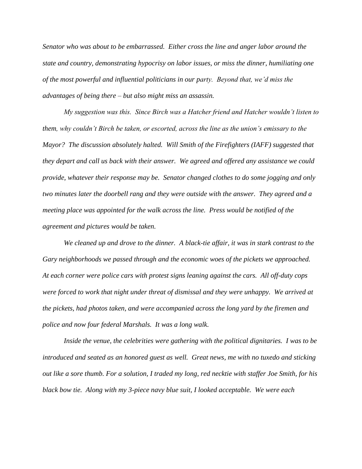*Senator who was about to be embarrassed. Either cross the line and anger labor around the state and country, demonstrating hypocrisy on labor issues, or miss the dinner, humiliating one of the most powerful and influential politicians in our party. Beyond that, we'd miss the advantages of being there – but also might miss an assassin.*

*My suggestion was this. Since Birch was a Hatcher friend and Hatcher wouldn't listen to them, why couldn't Birch be taken, or escorted, across the line as the union's emissary to the Mayor? The discussion absolutely halted. Will Smith of the Firefighters (IAFF) suggested that they depart and call us back with their answer. We agreed and offered any assistance we could provide, whatever their response may be. Senator changed clothes to do some jogging and only two minutes later the doorbell rang and they were outside with the answer. They agreed and a meeting place was appointed for the walk across the line. Press would be notified of the agreement and pictures would be taken.*

*We cleaned up and drove to the dinner. A black-tie affair, it was in stark contrast to the Gary neighborhoods we passed through and the economic woes of the pickets we approached. At each corner were police cars with protest signs leaning against the cars. All off-duty cops were forced to work that night under threat of dismissal and they were unhappy. We arrived at the pickets, had photos taken, and were accompanied across the long yard by the firemen and police and now four federal Marshals. It was a long walk.*

*Inside the venue, the celebrities were gathering with the political dignitaries. I was to be introduced and seated as an honored guest as well. Great news, me with no tuxedo and sticking out like a sore thumb. For a solution, I traded my long, red necktie with staffer Joe Smith, for his black bow tie. Along with my 3-piece navy blue suit, I looked acceptable. We were each*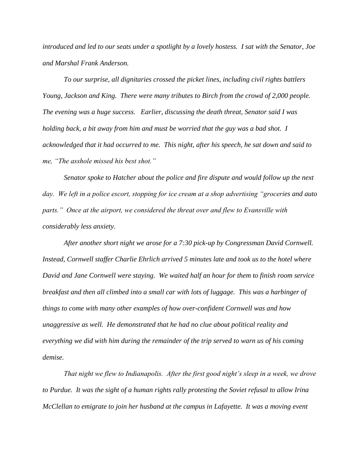*introduced and led to our seats under a spotlight by a lovely hostess. I sat with the Senator, Joe and Marshal Frank Anderson.*

*To our surprise, all dignitaries crossed the picket lines, including civil rights battlers Young, Jackson and King. There were many tributes to Birch from the crowd of 2,000 people. The evening was a huge success. Earlier, discussing the death threat, Senator said I was holding back, a bit away from him and must be worried that the guy was a bad shot. I acknowledged that it had occurred to me. This night, after his speech, he sat down and said to me, "The asshole missed his best shot."* 

*Senator spoke to Hatcher about the police and fire dispute and would follow up the next day. We left in a police escort, stopping for ice cream at a shop advertising "groceries and auto parts." Once at the airport, we considered the threat over and flew to Evansville with considerably less anxiety.* 

*After another short night we arose for a 7:30 pick-up by Congressman David Cornwell. Instead, Cornwell staffer Charlie Ehrlich arrived 5 minutes late and took us to the hotel where David and Jane Cornwell were staying. We waited half an hour for them to finish room service breakfast and then all climbed into a small car with lots of luggage. This was a harbinger of things to come with many other examples of how over-confident Cornwell was and how unaggressive as well. He demonstrated that he had no clue about political reality and everything we did with him during the remainder of the trip served to warn us of his coming demise.*

*That night we flew to Indianapolis. After the first good night's sleep in a week, we drove to Purdue. It was the sight of a human rights rally protesting the Soviet refusal to allow Irina McClellan to emigrate to join her husband at the campus in Lafayette. It was a moving event*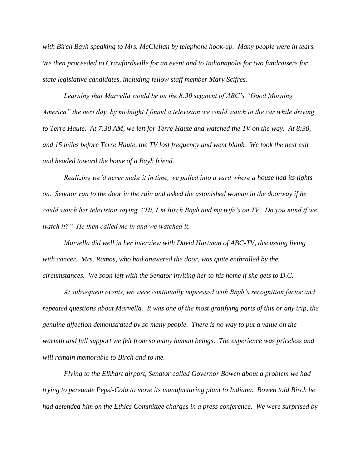*with Birch Bayh speaking to Mrs. McClellan by telephone hook-up. Many people were in tears. We then proceeded to Crawfordsville for an event and to Indianapolis for two fundraisers for state legislative candidates, including fellow staff member Mary Scifres.* 

*Learning that Marvella would be on the 8:30 segment of ABC's "Good Morning America" the next day, by midnight I found a television we could watch in the car while driving to Terre Haute. At 7:30 AM, we left for Terre Haute and watched the TV on the way. At 8:30, and 15 miles before Terre Haute, the TV lost frequency and went blank. We took the next exit and headed toward the home of a Bayh friend.* 

*Realizing we'd never make it in time, we pulled into a yard where a house had its lights on. Senator ran to the door in the rain and asked the astonished woman in the doorway if he could watch her television saying, "Hi, I'm Birch Bayh and my wife's on TV. Do you mind if we watch it?" He then called me in and we watched it.*

*Marvella did well in her interview with David Hartman of ABC-TV, discussing living with cancer. Mrs. Ramos, who had answered the door, was quite enthralled by the circumstances. We soon left with the Senator inviting her to his home if she gets to D.C.*

*At subsequent events, we were continually impressed with Bayh's recognition factor and repeated questions about Marvella. It was one of the most gratifying parts of this or any trip, the genuine affection demonstrated by so many people. There is no way to put a value on the warmth and full support we felt from so many human beings. The experience was priceless and will remain memorable to Birch and to me.* 

*Flying to the Elkhart airport, Senator called Governor Bowen about a problem we had trying to persuade Pepsi-Cola to move its manufacturing plant to Indiana. Bowen told Birch he had defended him on the Ethics Committee charges in a press conference. We were surprised by*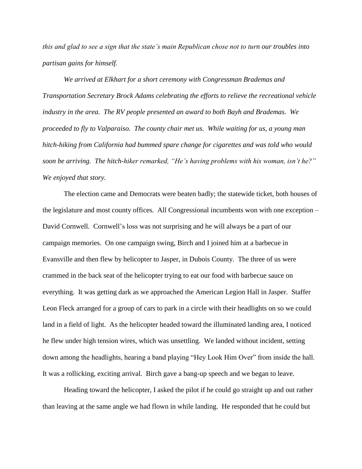*this and glad to see a sign that the state's main Republican chose not to turn our troubles into partisan gains for himself.*

*We arrived at Elkhart for a short ceremony with Congressman Brademas and Transportation Secretary Brock Adams celebrating the efforts to relieve the recreational vehicle industry in the area. The RV people presented an award to both Bayh and Brademas. We proceeded to fly to Valparaiso. The county chair met us. While waiting for us, a young man hitch-hiking from California had bummed spare change for cigarettes and was told who would soon be arriving. The hitch-hiker remarked, "He's having problems with his woman, isn't he?" We enjoyed that story.*

The election came and Democrats were beaten badly; the statewide ticket, both houses of the legislature and most county offices. All Congressional incumbents won with one exception – David Cornwell*.* Cornwell's loss was not surprising and he will always be a part of our campaign memories. On one campaign swing, Birch and I joined him at a barbecue in Evansville and then flew by helicopter to Jasper, in Dubois County. The three of us were crammed in the back seat of the helicopter trying to eat our food with barbecue sauce on everything. It was getting dark as we approached the American Legion Hall in Jasper. Staffer Leon Fleck arranged for a group of cars to park in a circle with their headlights on so we could land in a field of light. As the helicopter headed toward the illuminated landing area, I noticed he flew under high tension wires, which was unsettling. We landed without incident, setting down among the headlights, hearing a band playing "Hey Look Him Over" from inside the hall. It was a rollicking, exciting arrival. Birch gave a bang-up speech and we began to leave.

Heading toward the helicopter, I asked the pilot if he could go straight up and out rather than leaving at the same angle we had flown in while landing. He responded that he could but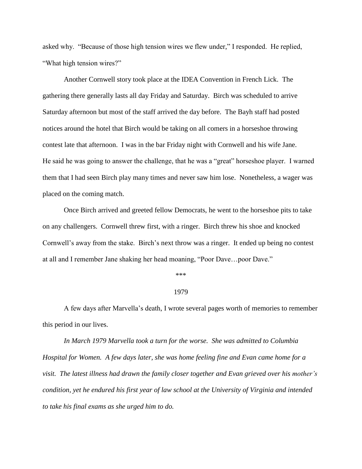asked why. "Because of those high tension wires we flew under," I responded. He replied, "What high tension wires?"

Another Cornwell story took place at the IDEA Convention in French Lick. The gathering there generally lasts all day Friday and Saturday. Birch was scheduled to arrive Saturday afternoon but most of the staff arrived the day before. The Bayh staff had posted notices around the hotel that Birch would be taking on all comers in a horseshoe throwing contest late that afternoon. I was in the bar Friday night with Cornwell and his wife Jane. He said he was going to answer the challenge, that he was a "great" horseshoe player. I warned them that I had seen Birch play many times and never saw him lose. Nonetheless, a wager was placed on the coming match.

Once Birch arrived and greeted fellow Democrats, he went to the horseshoe pits to take on any challengers. Cornwell threw first, with a ringer. Birch threw his shoe and knocked Cornwell's away from the stake. Birch's next throw was a ringer. It ended up being no contest at all and I remember Jane shaking her head moaning, "Poor Dave…poor Dave."

\*\*\*

## 1979

A few days after Marvella's death, I wrote several pages worth of memories to remember this period in our lives.

*In March 1979 Marvella took a turn for the worse. She was admitted to Columbia Hospital for Women. A few days later, she was home feeling fine and Evan came home for a visit. The latest illness had drawn the family closer together and Evan grieved over his mother's condition, yet he endured his first year of law school at the University of Virginia and intended to take his final exams as she urged him to do.*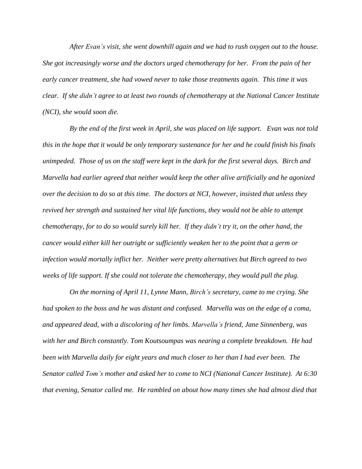*After Evan's visit, she went downhill again and we had to rush oxygen out to the house. She got increasingly worse and the doctors urged chemotherapy for her. From the pain of her early cancer treatment, she had vowed never to take those treatments again. This time it was clear. If she didn't agree to at least two rounds of chemotherapy at the National Cancer Institute (NCI), she would soon die.*

*By the end of the first week in April, she was placed on life support. Evan was not told* this in the hope that it would be only temporary sustenance for her and he could finish his finals *unimpeded. Those of us on the staff were kept in the dark for the first several days. Birch and Marvella had earlier agreed that neither would keep the other alive artificially and he agonized over the decision to do so at this time. The doctors at NCI, however, insisted that unless they revived her strength and sustained her vital life functions, they would not be able to attempt chemotherapy, for to do so would surely kill her. If they didn't try it, on the other hand, the cancer would either kill her outright or sufficiently weaken her to the point that a germ or infection would mortally inflict her. Neither were pretty alternatives but Birch agreed to two weeks of life support. If she could not tolerate the chemotherapy, they would pull the plug.*

*On the morning of April 11, Lynne Mann, Birch's secretary, came to me crying. She had spoken to the boss and he was distant and confused. Marvella was on the edge of a coma, and appeared dead, with a discoloring of her limbs. Marvella's friend, Jane Sinnenberg, was with her and Birch constantly. Tom Koutsoumpas was nearing a complete breakdown. He had been with Marvella daily for eight years and much closer to her than I had ever been. The Senator called Tom's mother and asked her to come to NCI (National Cancer Institute). At 6:30 that evening, Senator called me. He rambled on about how many times she had almost died that*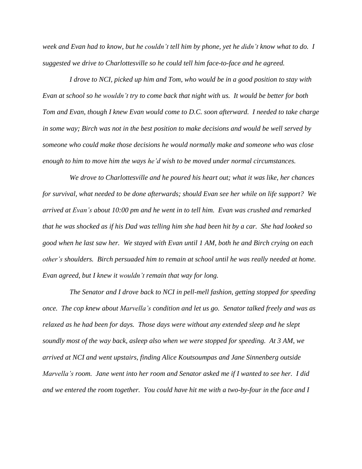week and Evan had to know, but he couldn't tell him by phone, yet he didn't know what to do. I *suggested we drive to Charlottesville so he could tell him face-to-face and he agreed.*

*I drove to NCI, picked up him and Tom, who would be in a good position to stay with* Evan at school so he wouldn't try to come back that night with us. It would be better for both *Tom and Evan, though I knew Evan would come to D.C. soon afterward. I needed to take charge* in some way; Birch was not in the best position to make decisions and would be well served by *someone who could make those decisions he would normally make and someone who was close enough to him to move him the ways he'd wish to be moved under normal circumstances.*

*We drove to Charlottesville and he poured his heart out; what it was like, her chances for survival, what needed to be done afterwards; should Evan see her while on life support? We arrived at Evan's about 10:00 pm and he went in to tell him. Evan was crushed and remarked* that he was shocked as if his Dad was telling him she had been hit by a car. She had looked so *good when he last saw her. We stayed with Evan until 1 AM, both he and Birch crying on each other's shoulders. Birch persuaded him to remain at school until he was really needed at home. Evan agreed, but I knew it wouldn't remain that way for long.*

*The Senator and I drove back to NCI in pell-mell fashion, getting stopped for speeding once. The cop knew about Marvella's condition and let us go. Senator talked freely and was as relaxed as he had been for days. Those days were without any extended sleep and he slept soundly most of the way back, asleep also when we were stopped for speeding. At 3 AM, we arrived at NCI and went upstairs, finding Alice Koutsoumpas and Jane Sinnenberg outside Marvella's room. Jane went into her room and Senator asked me if I wanted to see her. I did and we entered the room together. You could have hit me with a two-by-four in the face and I*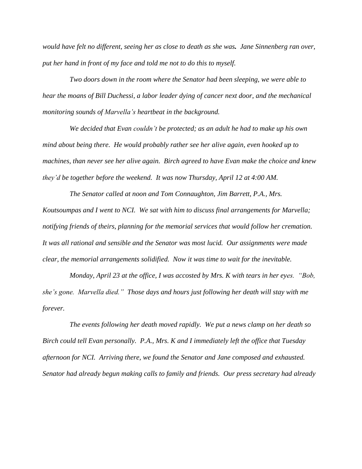would have felt no different, seeing her as close to death as she was. Jane Sinnenberg ran over, *put her hand in front of my face and told me not to do this to myself.* 

*Two doors down in the room where the Senator had been sleeping, we were able to hear the moans of Bill Duchessi, a labor leader dying of cancer next door, and the mechanical monitoring sounds of Marvella's heartbeat in the background.* 

*We decided that Evan couldn't be protected; as an adult he had to make up his own mind about being there. He would probably rather see her alive again, even hooked up to machines, than never see her alive again. Birch agreed to have Evan make the choice and knew they'd be together before the weekend. It was now Thursday, April 12 at 4:00 AM.*

*The Senator called at noon and Tom Connaughton, Jim Barrett, P.A., Mrs. Koutsoumpas and I went to NCI. We sat with him to discuss final arrangements for Marvella; notifying friends of theirs, planning for the memorial services that would follow her cremation. It was all rational and sensible and the Senator was most lucid. Our assignments were made clear, the memorial arrangements solidified. Now it was time to wait for the inevitable.*

*Monday, April 23 at the office, I was accosted by Mrs. K with tears in her eyes. "Bob, she's gone. Marvella died." Those days and hours just following her death will stay with me forever.*

*The events following her death moved rapidly. We put a news clamp on her death so Birch could tell Evan personally. P.A., Mrs. K and I immediately left the office that Tuesday afternoon for NCI. Arriving there, we found the Senator and Jane composed and exhausted. Senator had already begun making calls to family and friends. Our press secretary had already*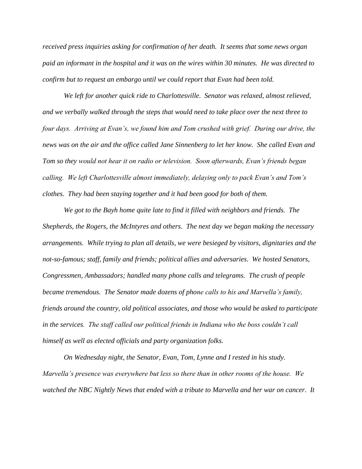*received press inquiries asking for confirmation of her death. It seems that some news organ paid an informant in the hospital and it was on the wires within 30 minutes. He was directed to confirm but to request an embargo until we could report that Evan had been told.*

*We left for another quick ride to Charlottesville. Senator was relaxed, almost relieved, and we verbally walked through the steps that would need to take place over the next three to four days. Arriving at Evan's, we found him and Tom crushed with grief. During our drive, the news was on the air and the office called Jane Sinnenberg to let her know. She called Evan and Tom so they would not hear it on radio or television. Soon afterwards, Evan's friends began calling. We left Charlottesville almost immediately, delaying only to pack Evan's and Tom's clothes. They had been staying together and it had been good for both of them.*

*We got to the Bayh home quite late to find it filled with neighbors and friends. The Shepherds, the Rogers, the McIntyres and others. The next day we began making the necessary arrangements. While trying to plan all details, we were besieged by visitors, dignitaries and the not-so-famous; staff, family and friends; political allies and adversaries. We hosted Senators, Congressmen, Ambassadors; handled many phone calls and telegrams. The crush of people became tremendous. The Senator made dozens of phone calls to his and Marvella's family, friends around the country, old political associates, and those who would be asked to participate in the services. The staff called our political friends in Indiana who the boss couldn't call himself as well as elected officials and party organization folks.*

*On Wednesday night, the Senator, Evan, Tom, Lynne and I rested in his study. Marvella's presence was everywhere but less so there than in other rooms of the house. We watched the NBC Nightly News that ended with a tribute to Marvella and her war on cancer. It*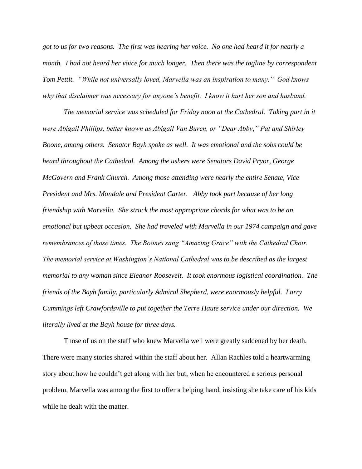*got to us for two reasons. The first was hearing her voice. No one had heard it for nearly a month. I had not heard her voice for much longer. Then there was the tagline by correspondent Tom Pettit. "While not universally loved, Marvella was an inspiration to many." God knows why that disclaimer was necessary for anyone's benefit. I know it hurt her son and husband.*

*The memorial service was scheduled for Friday noon at the Cathedral. Taking part in it were Abigail Phillips, better known as Abigail Van Buren, or "Dear Abby," Pat and Shirley Boone, among others. Senator Bayh spoke as well. It was emotional and the sobs could be heard throughout the Cathedral. Among the ushers were Senators David Pryor, George McGovern and Frank Church. Among those attending were nearly the entire Senate, Vice President and Mrs. Mondale and President Carter. Abby took part because of her long friendship with Marvella. She struck the most appropriate chords for what was to be an emotional but upbeat occasion. She had traveled with Marvella in our 1974 campaign and gave remembrances of those times. The Boones sang "Amazing Grace" with the Cathedral Choir. The memorial service at Washington's National Cathedral was to be described as the largest memorial to any woman since Eleanor Roosevelt. It took enormous logistical coordination. The friends of the Bayh family, particularly Admiral Shepherd, were enormously helpful. Larry Cummings left Crawfordsville to put together the Terre Haute service under our direction. We literally lived at the Bayh house for three days.*

Those of us on the staff who knew Marvella well were greatly saddened by her death. There were many stories shared within the staff about her. Allan Rachles told a heartwarming story about how he couldn't get along with her but, when he encountered a serious personal problem, Marvella was among the first to offer a helping hand, insisting she take care of his kids while he dealt with the matter.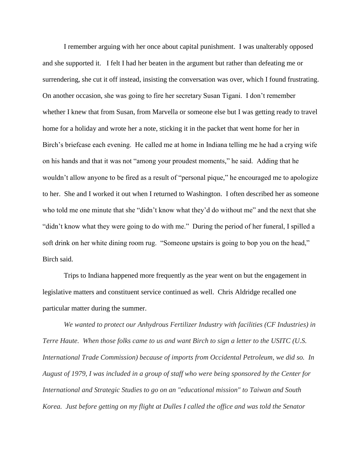I remember arguing with her once about capital punishment. I was unalterably opposed and she supported it. I felt I had her beaten in the argument but rather than defeating me or surrendering, she cut it off instead, insisting the conversation was over, which I found frustrating. On another occasion, she was going to fire her secretary Susan Tigani. I don't remember whether I knew that from Susan, from Marvella or someone else but I was getting ready to travel home for a holiday and wrote her a note, sticking it in the packet that went home for her in Birch's briefcase each evening. He called me at home in Indiana telling me he had a crying wife on his hands and that it was not "among your proudest moments," he said. Adding that he wouldn't allow anyone to be fired as a result of "personal pique," he encouraged me to apologize to her. She and I worked it out when I returned to Washington. I often described her as someone who told me one minute that she "didn't know what they'd do without me" and the next that she "didn't know what they were going to do with me." During the period of her funeral, I spilled a soft drink on her white dining room rug. "Someone upstairs is going to bop you on the head," Birch said.

Trips to Indiana happened more frequently as the year went on but the engagement in legislative matters and constituent service continued as well. Chris Aldridge recalled one particular matter during the summer.

*We wanted to protect our Anhydrous Fertilizer Industry with facilities (CF Industries) in Terre Haute. When those folks came to us and want Birch to sign a letter to the USITC (U.S. International Trade Commission) because of imports from Occidental Petroleum, we did so. In August of 1979, I was included in a group of staff who were being sponsored by the Center for International and Strategic Studies to go on an "educational mission" to Taiwan and South Korea. Just before getting on my flight at Dulles I called the office and was told the Senator*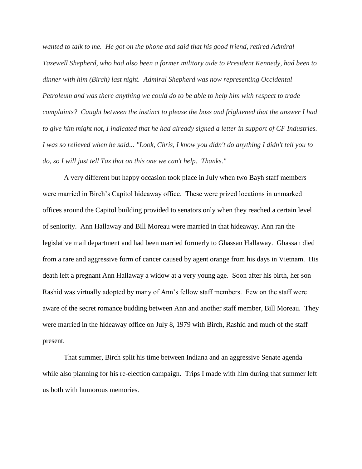*wanted to talk to me. He got on the phone and said that his good friend, retired Admiral Tazewell Shepherd, who had also been a former military aide to President Kennedy, had been to dinner with him (Birch) last night. Admiral Shepherd was now representing Occidental Petroleum and was there anything we could do to be able to help him with respect to trade complaints? Caught between the instinct to please the boss and frightened that the answer I had to give him might not, I indicated that he had already signed a letter in support of CF Industries. I was so relieved when he said... "Look, Chris, I know you didn't do anything I didn't tell you to do, so I will just tell Taz that on this one we can't help. Thanks."*

A very different but happy occasion took place in July when two Bayh staff members were married in Birch's Capitol hideaway office. These were prized locations in unmarked offices around the Capitol building provided to senators only when they reached a certain level of seniority. Ann Hallaway and Bill Moreau were married in that hideaway. Ann ran the legislative mail department and had been married formerly to Ghassan Hallaway. Ghassan died from a rare and aggressive form of cancer caused by agent orange from his days in Vietnam. His death left a pregnant Ann Hallaway a widow at a very young age. Soon after his birth, her son Rashid was virtually adopted by many of Ann's fellow staff members. Few on the staff were aware of the secret romance budding between Ann and another staff member, Bill Moreau. They were married in the hideaway office on July 8, 1979 with Birch, Rashid and much of the staff present.

That summer, Birch split his time between Indiana and an aggressive Senate agenda while also planning for his re-election campaign. Trips I made with him during that summer left us both with humorous memories.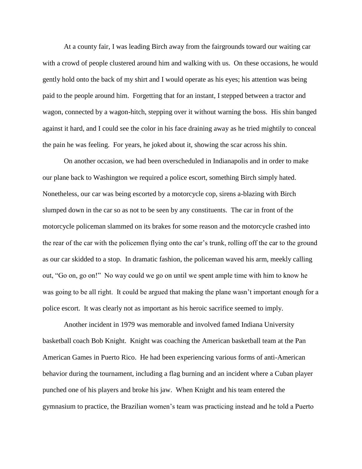At a county fair, I was leading Birch away from the fairgrounds toward our waiting car with a crowd of people clustered around him and walking with us. On these occasions, he would gently hold onto the back of my shirt and I would operate as his eyes; his attention was being paid to the people around him. Forgetting that for an instant, I stepped between a tractor and wagon, connected by a wagon-hitch, stepping over it without warning the boss. His shin banged against it hard, and I could see the color in his face draining away as he tried mightily to conceal the pain he was feeling. For years, he joked about it, showing the scar across his shin.

On another occasion, we had been overscheduled in Indianapolis and in order to make our plane back to Washington we required a police escort, something Birch simply hated. Nonetheless, our car was being escorted by a motorcycle cop, sirens a-blazing with Birch slumped down in the car so as not to be seen by any constituents. The car in front of the motorcycle policeman slammed on its brakes for some reason and the motorcycle crashed into the rear of the car with the policemen flying onto the car's trunk, rolling off the car to the ground as our car skidded to a stop. In dramatic fashion, the policeman waved his arm, meekly calling out, "Go on, go on!" No way could we go on until we spent ample time with him to know he was going to be all right. It could be argued that making the plane wasn't important enough for a police escort. It was clearly not as important as his heroic sacrifice seemed to imply.

Another incident in 1979 was memorable and involved famed Indiana University basketball coach Bob Knight. Knight was coaching the American basketball team at the Pan American Games in Puerto Rico. He had been experiencing various forms of anti-American behavior during the tournament, including a flag burning and an incident where a Cuban player punched one of his players and broke his jaw. When Knight and his team entered the gymnasium to practice, the Brazilian women's team was practicing instead and he told a Puerto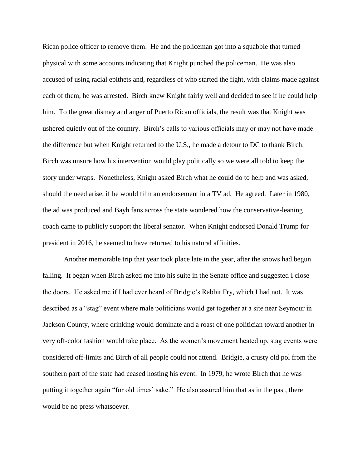Rican police officer to remove them. He and the policeman got into a squabble that turned physical with some accounts indicating that Knight punched the policeman. He was also accused of using racial epithets and, regardless of who started the fight, with claims made against each of them, he was arrested. Birch knew Knight fairly well and decided to see if he could help him. To the great dismay and anger of Puerto Rican officials, the result was that Knight was ushered quietly out of the country. Birch's calls to various officials may or may not have made the difference but when Knight returned to the U.S., he made a detour to DC to thank Birch. Birch was unsure how his intervention would play politically so we were all told to keep the story under wraps. Nonetheless, Knight asked Birch what he could do to help and was asked, should the need arise, if he would film an endorsement in a TV ad. He agreed. Later in 1980, the ad was produced and Bayh fans across the state wondered how the conservative-leaning coach came to publicly support the liberal senator. When Knight endorsed Donald Trump for president in 2016, he seemed to have returned to his natural affinities.

Another memorable trip that year took place late in the year, after the snows had begun falling. It began when Birch asked me into his suite in the Senate office and suggested I close the doors. He asked me if I had ever heard of Bridgie's Rabbit Fry, which I had not. It was described as a "stag" event where male politicians would get together at a site near Seymour in Jackson County, where drinking would dominate and a roast of one politician toward another in very off-color fashion would take place. As the women's movement heated up, stag events were considered off-limits and Birch of all people could not attend. Bridgie, a crusty old pol from the southern part of the state had ceased hosting his event. In 1979, he wrote Birch that he was putting it together again "for old times' sake." He also assured him that as in the past, there would be no press whatsoever.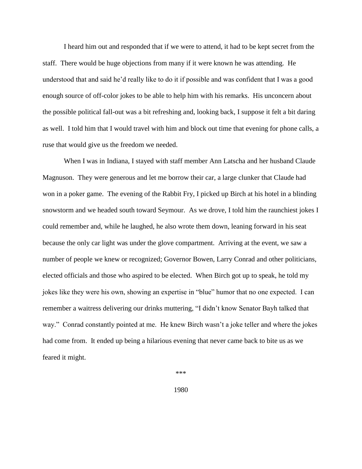I heard him out and responded that if we were to attend, it had to be kept secret from the staff. There would be huge objections from many if it were known he was attending. He understood that and said he'd really like to do it if possible and was confident that I was a good enough source of off-color jokes to be able to help him with his remarks. His unconcern about the possible political fall-out was a bit refreshing and, looking back, I suppose it felt a bit daring as well. I told him that I would travel with him and block out time that evening for phone calls, a ruse that would give us the freedom we needed.

When I was in Indiana, I stayed with staff member Ann Latscha and her husband Claude Magnuson. They were generous and let me borrow their car, a large clunker that Claude had won in a poker game. The evening of the Rabbit Fry, I picked up Birch at his hotel in a blinding snowstorm and we headed south toward Seymour. As we drove, I told him the raunchiest jokes I could remember and, while he laughed, he also wrote them down, leaning forward in his seat because the only car light was under the glove compartment. Arriving at the event, we saw a number of people we knew or recognized; Governor Bowen, Larry Conrad and other politicians, elected officials and those who aspired to be elected. When Birch got up to speak, he told my jokes like they were his own, showing an expertise in "blue" humor that no one expected. I can remember a waitress delivering our drinks muttering, "I didn't know Senator Bayh talked that way." Conrad constantly pointed at me. He knew Birch wasn't a joke teller and where the jokes had come from. It ended up being a hilarious evening that never came back to bite us as we feared it might.

\*\*\*

1980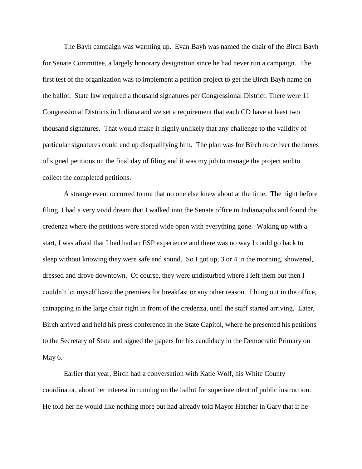The Bayh campaign was warming up. Evan Bayh was named the chair of the Birch Bayh for Senate Committee, a largely honorary designation since he had never run a campaign. The first test of the organization was to implement a petition project to get the Birch Bayh name on the ballot. State law required a thousand signatures per Congressional District. There were 11 Congressional Districts in Indiana and we set a requirement that each CD have at least two thousand signatures. That would make it highly unlikely that any challenge to the validity of particular signatures could end up disqualifying him. The plan was for Birch to deliver the boxes of signed petitions on the final day of filing and it was my job to manage the project and to collect the completed petitions.

A strange event occurred to me that no one else knew about at the time. The night before filing, I had a very vivid dream that I walked into the Senate office in Indianapolis and found the credenza where the petitions were stored wide open with everything gone. Waking up with a start, I was afraid that I had had an ESP experience and there was no way I could go back to sleep without knowing they were safe and sound. So I got up, 3 or 4 in the morning, showered, dressed and drove downtown. Of course, they were undisturbed where I left them but then I couldn't let myself leave the premises for breakfast or any other reason. I hung out in the office, catnapping in the large chair right in front of the credenza, until the staff started arriving. Later, Birch arrived and held his press conference in the State Capitol, where he presented his petitions to the Secretary of State and signed the papers for his candidacy in the Democratic Primary on May 6.

Earlier that year, Birch had a conversation with Katie Wolf, his White County coordinator, about her interest in running on the ballot for superintendent of public instruction. He told her he would like nothing more but had already told Mayor Hatcher in Gary that if he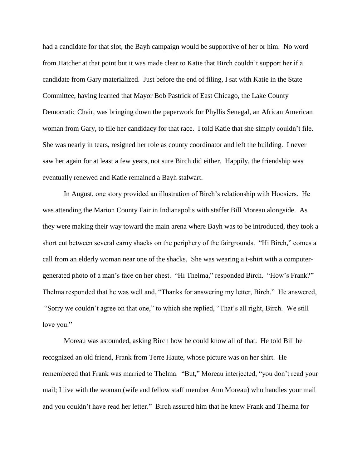had a candidate for that slot, the Bayh campaign would be supportive of her or him. No word from Hatcher at that point but it was made clear to Katie that Birch couldn't support her if a candidate from Gary materialized. Just before the end of filing, I sat with Katie in the State Committee, having learned that Mayor Bob Pastrick of East Chicago, the Lake County Democratic Chair, was bringing down the paperwork for Phyllis Senegal, an African American woman from Gary, to file her candidacy for that race. I told Katie that she simply couldn't file. She was nearly in tears, resigned her role as county coordinator and left the building. I never saw her again for at least a few years, not sure Birch did either. Happily, the friendship was eventually renewed and Katie remained a Bayh stalwart.

In August, one story provided an illustration of Birch's relationship with Hoosiers. He was attending the Marion County Fair in Indianapolis with staffer Bill Moreau alongside. As they were making their way toward the main arena where Bayh was to be introduced, they took a short cut between several carny shacks on the periphery of the fairgrounds. "Hi Birch," comes a call from an elderly woman near one of the shacks. She was wearing a t-shirt with a computergenerated photo of a man's face on her chest. "Hi Thelma," responded Birch. "How's Frank?" Thelma responded that he was well and, "Thanks for answering my letter, Birch." He answered, "Sorry we couldn't agree on that one," to which she replied, "That's all right, Birch. We still love you."

Moreau was astounded, asking Birch how he could know all of that. He told Bill he recognized an old friend, Frank from Terre Haute, whose picture was on her shirt. He remembered that Frank was married to Thelma. "But," Moreau interjected, "you don't read your mail; I live with the woman (wife and fellow staff member Ann Moreau) who handles your mail and you couldn't have read her letter." Birch assured him that he knew Frank and Thelma for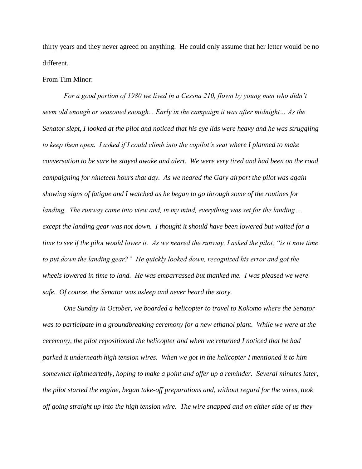thirty years and they never agreed on anything. He could only assume that her letter would be no different.

# From Tim Minor:

*For a good portion of 1980 we lived in a Cessna 210, flown by young men who didn't seem old enough or seasoned enough... Early in the campaign it was after midnight… As the Senator slept, I looked at the pilot and noticed that his eye lids were heavy and he was struggling to keep them open. I asked if I could climb into the copilot's seat where I planned to make conversation to be sure he stayed awake and alert. We were very tired and had been on the road campaigning for nineteen hours that day. As we neared the Gary airport the pilot was again showing signs of fatigue and I watched as he began to go through some of the routines for landing. The runway came into view and, in my mind, everything was set for the landing…. except the landing gear was not down. I thought it should have been lowered but waited for a time to see if the pilot would lower it. As we neared the runway, I asked the pilot, "is it now time to put down the landing gear?" He quickly looked down, recognized his error and got the wheels lowered in time to land. He was embarrassed but thanked me. I was pleased we were safe. Of course, the Senator was asleep and never heard the story.*

*One Sunday in October, we boarded a helicopter to travel to Kokomo where the Senator was to participate in a groundbreaking ceremony for a new ethanol plant. While we were at the ceremony, the pilot repositioned the helicopter and when we returned I noticed that he had parked it underneath high tension wires. When we got in the helicopter I mentioned it to him somewhat lightheartedly, hoping to make a point and offer up a reminder. Several minutes later, the pilot started the engine, began take-off preparations and, without regard for the wires, took off going straight up into the high tension wire. The wire snapped and on either side of us they*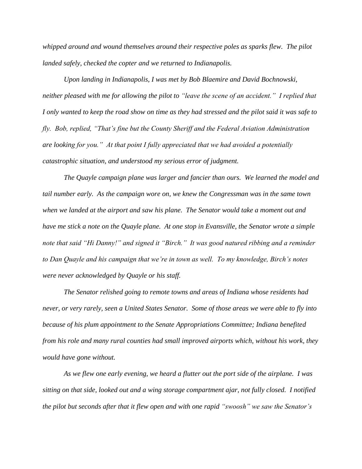*whipped around and wound themselves around their respective poles as sparks flew. The pilot landed safely, checked the copter and we returned to Indianapolis.*

*Upon landing in Indianapolis, I was met by Bob Blaemire and David Bochnowski, neither pleased with me for allowing the pilot to "leave the scene of an accident." I replied that I only wanted to keep the road show on time as they had stressed and the pilot said it was safe to fly. Bob, replied, "That's fine but the County Sheriff and the Federal Aviation Administration are looking for you." At that point I fully appreciated that we had avoided a potentially catastrophic situation, and understood my serious error of judgment.* 

*The Quayle campaign plane was larger and fancier than ours. We learned the model and tail number early. As the campaign wore on, we knew the Congressman was in the same town when we landed at the airport and saw his plane. The Senator would take a moment out and have me stick a note on the Quayle plane. At one stop in Evansville, the Senator wrote a simple note that said "Hi Danny!" and signed it "Birch." It was good natured ribbing and a reminder to Dan Quayle and his campaign that we're in town as well. To my knowledge, Birch's notes were never acknowledged by Quayle or his staff.* 

*The Senator relished going to remote towns and areas of Indiana whose residents had never, or very rarely, seen a United States Senator. Some of those areas we were able to fly into because of his plum appointment to the Senate Appropriations Committee; Indiana benefited from his role and many rural counties had small improved airports which, without his work, they would have gone without.*

*As we flew one early evening, we heard a flutter out the port side of the airplane. I was sitting on that side, looked out and a wing storage compartment ajar, not fully closed. I notified the pilot but seconds after that it flew open and with one rapid "swoosh" we saw the Senator's*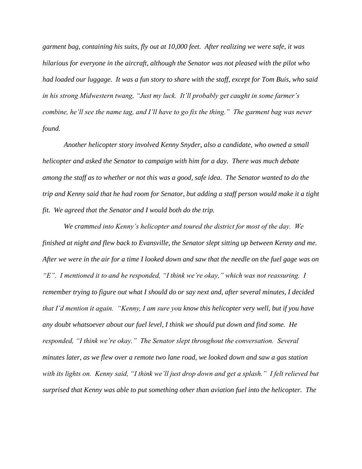*garment bag, containing his suits, fly out at 10,000 feet. After realizing we were safe, it was hilarious for everyone in the aircraft, although the Senator was not pleased with the pilot who had loaded our luggage. It was a fun story to share with the staff, except for Tom Buis, who said in his strong Midwestern twang, "Just my luck. It'll probably get caught in some farmer's combine, he'll see the name tag, and I'll have to go fix the thing." The garment bag was never found.*

*Another helicopter story involved Kenny Snyder, also a candidate, who owned a small helicopter and asked the Senator to campaign with him for a day. There was much debate among the staff as to whether or not this was a good, safe idea. The Senator wanted to do the trip and Kenny said that he had room for Senator, but adding a staff person would make it a tight fit. We agreed that the Senator and I would both do the trip.* 

*We crammed into Kenny's helicopter and toured the district for most of the day. We finished at night and flew back to Evansville, the Senator slept sitting up between Kenny and me. After we were in the air for a time I looked down and saw that the needle on the fuel gage was on "E". I mentioned it to and he responded, "I think we're okay," which was not reassuring. I remember trying to figure out what I should do or say next and, after several minutes, I decided that I'd mention it again. "Kenny, I am sure you know this helicopter very well, but if you have any doubt whatsoever about our fuel level, I think we should put down and find some. He responded, "I think we're okay." The Senator slept throughout the conversation. Several minutes later, as we flew over a remote two lane road, we looked down and saw a gas station with its lights on. Kenny said, "I think we'll just drop down and get a splash." I felt relieved but surprised that Kenny was able to put something other than aviation fuel into the helicopter. The*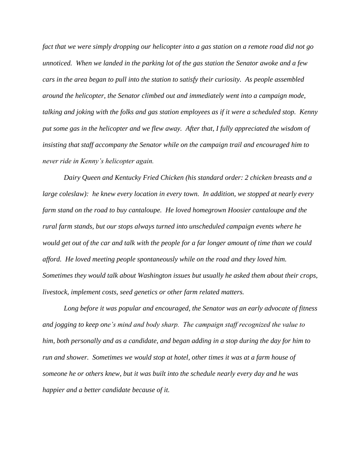*fact that we were simply dropping our helicopter into a gas station on a remote road did not go unnoticed. When we landed in the parking lot of the gas station the Senator awoke and a few cars in the area began to pull into the station to satisfy their curiosity. As people assembled around the helicopter, the Senator climbed out and immediately went into a campaign mode, talking and joking with the folks and gas station employees as if it were a scheduled stop. Kenny put some gas in the helicopter and we flew away. After that, I fully appreciated the wisdom of insisting that staff accompany the Senator while on the campaign trail and encouraged him to never ride in Kenny's helicopter again.*

*Dairy Queen and Kentucky Fried Chicken (his standard order: 2 chicken breasts and a large coleslaw): he knew every location in every town. In addition, we stopped at nearly every farm stand on the road to buy cantaloupe. He loved homegrown Hoosier cantaloupe and the rural farm stands, but our stops always turned into unscheduled campaign events where he would get out of the car and talk with the people for a far longer amount of time than we could afford. He loved meeting people spontaneously while on the road and they loved him. Sometimes they would talk about Washington issues but usually he asked them about their crops, livestock, implement costs, seed genetics or other farm related matters.*

*Long before it was popular and encouraged, the Senator was an early advocate of fitness and jogging to keep one's mind and body sharp. The campaign staff recognized the value to him, both personally and as a candidate, and began adding in a stop during the day for him to run and shower. Sometimes we would stop at hotel, other times it was at a farm house of someone he or others knew, but it was built into the schedule nearly every day and he was happier and a better candidate because of it.*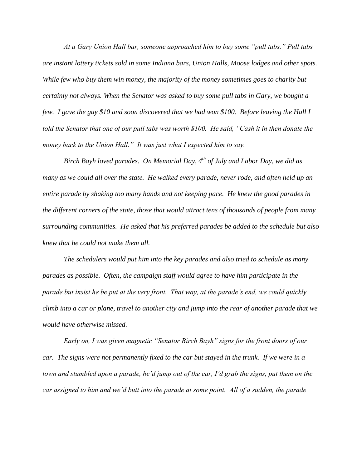*At a Gary Union Hall bar, someone approached him to buy some "pull tabs." Pull tabs are instant lottery tickets sold in some Indiana bars, Union Halls, Moose lodges and other spots. While few who buy them win money, the majority of the money sometimes goes to charity but certainly not always. When the Senator was asked to buy some pull tabs in Gary, we bought a few. I gave the guy \$10 and soon discovered that we had won \$100. Before leaving the Hall I told the Senator that one of our pull tabs was worth \$100. He said, "Cash it in then donate the money back to the Union Hall." It was just what I expected him to say.* 

*Birch Bayh loved parades. On Memorial Day, 4th of July and Labor Day, we did as many as we could all over the state. He walked every parade, never rode, and often held up an entire parade by shaking too many hands and not keeping pace. He knew the good parades in the different corners of the state, those that would attract tens of thousands of people from many surrounding communities. He asked that his preferred parades be added to the schedule but also knew that he could not make them all.* 

*The schedulers would put him into the key parades and also tried to schedule as many parades as possible. Often, the campaign staff would agree to have him participate in the parade but insist he be put at the very front. That way, at the parade's end, we could quickly climb into a car or plane, travel to another city and jump into the rear of another parade that we would have otherwise missed.* 

*Early on, I was given magnetic "Senator Birch Bayh" signs for the front doors of our car. The signs were not permanently fixed to the car but stayed in the trunk. If we were in a town and stumbled upon a parade, he'd jump out of the car, I'd grab the signs, put them on the car assigned to him and we'd butt into the parade at some point. All of a sudden, the parade*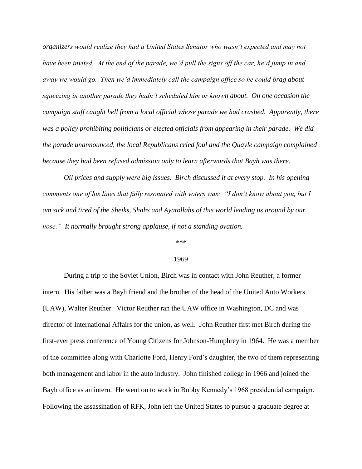*organizers would realize they had a United States Senator who wasn't expected and may not have been invited. At the end of the parade, we'd pull the signs off the car, he'd jump in and away we would go. Then we'd immediately call the campaign office so he could brag about squeezing in another parade they hadn't scheduled him or known about. On one occasion the campaign staff caught hell from a local official whose parade we had crashed. Apparently, there was a policy prohibiting politicians or elected officials from appearing in their parade. We did the parade unannounced, the local Republicans cried foul and the Quayle campaign complained because they had been refused admission only to learn afterwards that Bayh was there.* 

*Oil prices and supply were big issues. Birch discussed it at every stop. In his opening comments one of his lines that fully resonated with voters was: "I don't know about you, but I am sick and tired of the Sheiks, Shahs and Ayatollahs of this world leading us around by our nose." It normally brought strong applause, if not a standing ovation.*

#### *\*\*\**

## 1969

During a trip to the Soviet Union, Birch was in contact with John Reuther, a former intern. His father was a Bayh friend and the brother of the head of the United Auto Workers (UAW), Walter Reuther. Victor Reuther ran the UAW office in Washington, DC and was director of International Affairs for the union, as well. John Reuther first met Birch during the first-ever press conference of Young Citizens for Johnson-Humphrey in 1964. He was a member of the committee along with Charlotte Ford, Henry Ford's daughter, the two of them representing both management and labor in the auto industry. John finished college in 1966 and joined the Bayh office as an intern. He went on to work in Bobby Kennedy's 1968 presidential campaign. Following the assassination of RFK, John left the United States to pursue a graduate degree at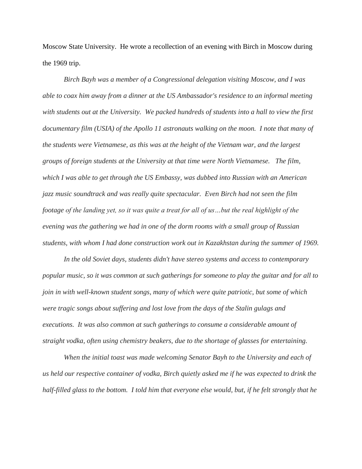Moscow State University. He wrote a recollection of an evening with Birch in Moscow during the 1969 trip.

*Birch Bayh was a member of a Congressional delegation visiting Moscow, and I was able to coax him away from a dinner at the US Ambassador's residence to an informal meeting with students out at the University. We packed hundreds of students into a hall to view the first documentary film (USIA) of the Apollo 11 astronauts walking on the moon. I note that many of the students were Vietnamese, as this was at the height of the Vietnam war, and the largest groups of foreign students at the University at that time were North Vietnamese. The film, which I was able to get through the US Embassy, was dubbed into Russian with an American jazz music soundtrack and was really quite spectacular. Even Birch had not seen the film footage of the landing yet, so it was quite a treat for all of us…but the real highlight of the evening was the gathering we had in one of the dorm rooms with a small group of Russian students, with whom I had done construction work out in Kazakhstan during the summer of 1969.*

*In the old Soviet days, students didn't have stereo systems and access to contemporary popular music, so it was common at such gatherings for someone to play the guitar and for all to join in with well-known student songs, many of which were quite patriotic, but some of which were tragic songs about suffering and lost love from the days of the Stalin gulags and executions. It was also common at such gatherings to consume a considerable amount of straight vodka, often using chemistry beakers, due to the shortage of glasses for entertaining.*

*When the initial toast was made welcoming Senator Bayh to the University and each of us held our respective container of vodka, Birch quietly asked me if he was expected to drink the half-filled glass to the bottom. I told him that everyone else would, but, if he felt strongly that he*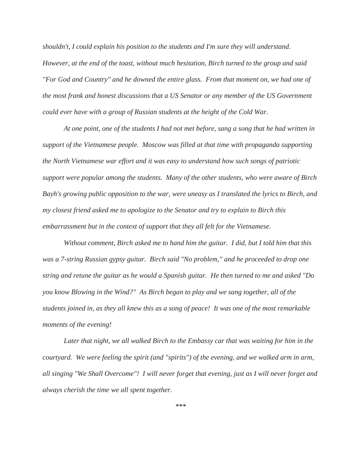*shouldn't, I could explain his position to the students and I'm sure they will understand. However, at the end of the toast, without much hesitation, Birch turned to the group and said "For God and Country" and he downed the entire glass. From that moment on, we had one of the most frank and honest discussions that a US Senator or any member of the US Government could ever have with a group of Russian students at the height of the Cold War.*

*At one point, one of the students I had not met before, sang a song that he had written in support of the Vietnamese people. Moscow was filled at that time with propaganda supporting the North Vietnamese war effort and it was easy to understand how such songs of patriotic support were popular among the students. Many of the other students, who were aware of Birch Bayh's growing public opposition to the war, were uneasy as I translated the lyrics to Birch, and my closest friend asked me to apologize to the Senator and try to explain to Birch this embarrassment but in the context of support that they all felt for the Vietnamese.*

*Without comment, Birch asked me to hand him the guitar. I did, but I told him that this was a 7-string Russian gypsy guitar. Birch said "No problem," and he proceeded to drop one string and retune the guitar as he would a Spanish guitar. He then turned to me and asked "Do you know Blowing in the Wind?" As Birch began to play and we sang together, all of the students joined in, as they all knew this as a song of peace! It was one of the most remarkable moments of the evening!*

Later that night, we all walked Birch to the Embassy car that was waiting for him in the *courtyard. We were feeling the spirit (and "spirits") of the evening, and we walked arm in arm, all singing "We Shall Overcome"! I will never forget that evening, just as I will never forget and always cherish the time we all spent together.*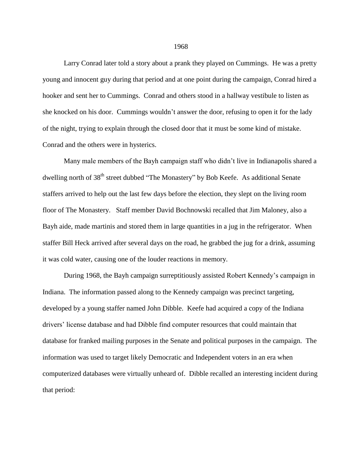Larry Conrad later told a story about a prank they played on Cummings. He was a pretty young and innocent guy during that period and at one point during the campaign, Conrad hired a hooker and sent her to Cummings. Conrad and others stood in a hallway vestibule to listen as she knocked on his door. Cummings wouldn't answer the door, refusing to open it for the lady of the night, trying to explain through the closed door that it must be some kind of mistake. Conrad and the others were in hysterics.

Many male members of the Bayh campaign staff who didn't live in Indianapolis shared a dwelling north of 38<sup>th</sup> street dubbed "The Monastery" by Bob Keefe. As additional Senate staffers arrived to help out the last few days before the election, they slept on the living room floor of The Monastery. Staff member David Bochnowski recalled that Jim Maloney, also a Bayh aide, made martinis and stored them in large quantities in a jug in the refrigerator. When staffer Bill Heck arrived after several days on the road, he grabbed the jug for a drink, assuming it was cold water, causing one of the louder reactions in memory.

During 1968, the Bayh campaign surreptitiously assisted Robert Kennedy's campaign in Indiana. The information passed along to the Kennedy campaign was precinct targeting, developed by a young staffer named John Dibble. Keefe had acquired a copy of the Indiana drivers' license database and had Dibble find computer resources that could maintain that database for franked mailing purposes in the Senate and political purposes in the campaign. The information was used to target likely Democratic and Independent voters in an era when computerized databases were virtually unheard of. Dibble recalled an interesting incident during that period: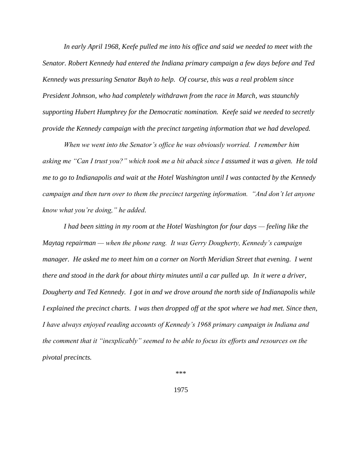*In early April 1968, Keefe pulled me into his office and said we needed to meet with the Senator. Robert Kennedy had entered the Indiana primary campaign a few days before and Ted Kennedy was pressuring Senator Bayh to help. Of course, this was a real problem since President Johnson, who had completely withdrawn from the race in March, was staunchly supporting Hubert Humphrey for the Democratic nomination. Keefe said we needed to secretly provide the Kennedy campaign with the precinct targeting information that we had developed.* 

*When we went into the Senator's office he was obviously worried. I remember him asking me "Can I trust you?" which took me a bit aback since I assumed it was a given. He told me to go to Indianapolis and wait at the Hotel Washington until I was contacted by the Kennedy campaign and then turn over to them the precinct targeting information. "And don't let anyone know what you're doing," he added.*

*I had been sitting in my room at the Hotel Washington for four days — feeling like the Maytag repairman — when the phone rang. It was Gerry Dougherty, Kennedy's campaign manager. He asked me to meet him on a corner on North Meridian Street that evening. I went there and stood in the dark for about thirty minutes until a car pulled up. In it were a driver, Dougherty and Ted Kennedy. I got in and we drove around the north side of Indianapolis while I explained the precinct charts. I was then dropped off at the spot where we had met. Since then, I have always enjoyed reading accounts of Kennedy's 1968 primary campaign in Indiana and the comment that it "inexplicably" seemed to be able to focus its efforts and resources on the pivotal precincts.* 

\*\*\*

1975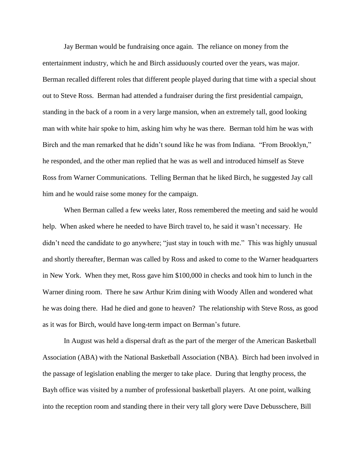Jay Berman would be fundraising once again. The reliance on money from the entertainment industry, which he and Birch assiduously courted over the years, was major. Berman recalled different roles that different people played during that time with a special shout out to Steve Ross. Berman had attended a fundraiser during the first presidential campaign, standing in the back of a room in a very large mansion, when an extremely tall, good looking man with white hair spoke to him, asking him why he was there. Berman told him he was with Birch and the man remarked that he didn't sound like he was from Indiana. "From Brooklyn," he responded, and the other man replied that he was as well and introduced himself as Steve Ross from Warner Communications. Telling Berman that he liked Birch, he suggested Jay call him and he would raise some money for the campaign.

When Berman called a few weeks later, Ross remembered the meeting and said he would help. When asked where he needed to have Birch travel to, he said it wasn't necessary. He didn't need the candidate to go anywhere; "just stay in touch with me." This was highly unusual and shortly thereafter, Berman was called by Ross and asked to come to the Warner headquarters in New York. When they met, Ross gave him \$100,000 in checks and took him to lunch in the Warner dining room. There he saw Arthur Krim dining with Woody Allen and wondered what he was doing there. Had he died and gone to heaven? The relationship with Steve Ross, as good as it was for Birch, would have long-term impact on Berman's future.

In August was held a dispersal draft as the part of the merger of the American Basketball Association (ABA) with the National Basketball Association (NBA). Birch had been involved in the passage of legislation enabling the merger to take place. During that lengthy process, the Bayh office was visited by a number of professional basketball players. At one point, walking into the reception room and standing there in their very tall glory were Dave Debusschere, Bill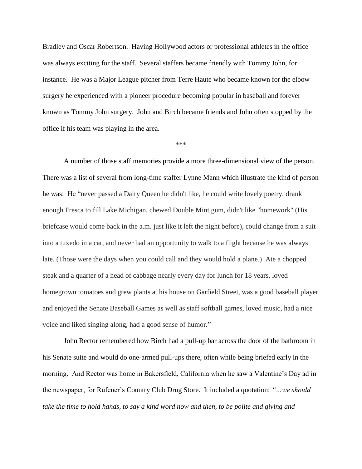Bradley and Oscar Robertson. Having Hollywood actors or professional athletes in the office was always exciting for the staff. Several staffers became friendly with Tommy John, for instance. He was a Major League pitcher from Terre Haute who became known for the elbow surgery he experienced with a pioneer procedure becoming popular in baseball and forever known as Tommy John surgery. John and Birch became friends and John often stopped by the office if his team was playing in the area.

\*\*\*

A number of those staff memories provide a more three-dimensional view of the person. There was a list of several from long-time staffer Lynne Mann which illustrate the kind of person he was: He "never passed a Dairy Queen he didn't like, he could write lovely poetry, drank enough Fresca to fill Lake Michigan, chewed Double Mint gum, didn't like "homework" (His briefcase would come back in the a.m. just like it left the night before), could change from a suit into a tuxedo in a car, and never had an opportunity to walk to a flight because he was always late. (Those were the days when you could call and they would hold a plane.) Ate a chopped steak and a quarter of a head of cabbage nearly every day for lunch for 18 years, loved homegrown tomatoes and grew plants at his house on Garfield Street, was a good baseball player and enjoyed the Senate Baseball Games as well as staff softball games, loved music, had a nice voice and liked singing along, had a good sense of humor."

John Rector remembered how Birch had a pull-up bar across the door of the bathroom in his Senate suite and would do one-armed pull-ups there, often while being briefed early in the morning. And Rector was home in Bakersfield, California when he saw a Valentine's Day ad in the newspaper, for Rufener's Country Club Drug Store. It included a quotation: *"…we should take the time to hold hands, to say a kind word now and then, to be polite and giving and*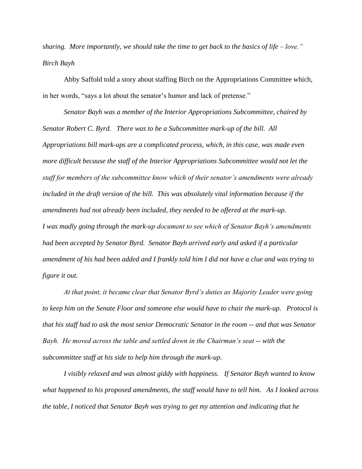*sharing. More importantly, we should take the time to get back to the basics of life – love." Birch Bayh*

Abby Saffold told a story about staffing Birch on the Appropriations Committee which, in her words, "says a lot about the senator's humor and lack of pretense."

*Senator Bayh was a member of the Interior Appropriations Subcommittee, chaired by Senator Robert C. Byrd. There was to be a Subcommittee mark-up of the bill. All Appropriations bill mark-ups are a complicated process, which, in this case, was made even more difficult because the staff of the Interior Appropriations Subcommittee would not let the staff for members of the subcommittee know which of their senator's amendments were already included in the draft version of the bill. This was absolutely vital information because if the amendments had not already been included, they needed to be offered at the mark-up. I was madly going through the mark-up document to see which of Senator Bayh's amendments had been accepted by Senator Byrd. Senator Bayh arrived early and asked if a particular amendment of his had been added and I frankly told him I did not have a clue and was trying to figure it out.* 

*At that point, it became clear that Senator Byrd's duties as Majority Leader were going to keep him on the Senate Floor and someone else would have to chair the mark-up. Protocol is that his staff had to ask the most senior Democratic Senator in the room -- and that was Senator Bayh. He moved across the table and settled down in the Chairman's seat -- with the subcommittee staff at his side to help him through the mark-up.* 

*I visibly relaxed and was almost giddy with happiness. If Senator Bayh wanted to know what happened to his proposed amendments, the staff would have to tell him. As I looked across the table, I noticed that Senator Bayh was trying to get my attention and indicating that he*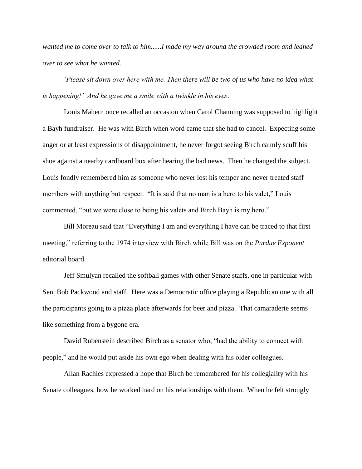*wanted me to come over to talk to him......I made my way around the crowded room and leaned over to see what he wanted.* 

*'Please sit down over here with me. Then there will be two of us who have no idea what is happening!' And he gave me a smile with a twinkle in his eyes*.

Louis Mahern once recalled an occasion when Carol Channing was supposed to highlight a Bayh fundraiser. He was with Birch when word came that she had to cancel. Expecting some anger or at least expressions of disappointment, he never forgot seeing Birch calmly scuff his shoe against a nearby cardboard box after hearing the bad news. Then he changed the subject. Louis fondly remembered him as someone who never lost his temper and never treated staff members with anything but respect. "It is said that no man is a hero to his valet," Louis commented, "but we were close to being his valets and Birch Bayh is my hero."

Bill Moreau said that "Everything I am and everything I have can be traced to that first meeting," referring to the 1974 interview with Birch while Bill was on the *Purdue Exponent* editorial board.

Jeff Smulyan recalled the softball games with other Senate staffs, one in particular with Sen. Bob Packwood and staff. Here was a Democratic office playing a Republican one with all the participants going to a pizza place afterwards for beer and pizza. That camaraderie seems like something from a bygone era.

David Rubenstein described Birch as a senator who, "had the ability to connect with people," and he would put aside his own ego when dealing with his older colleagues.

Allan Rachles expressed a hope that Birch be remembered for his collegiality with his Senate colleagues, how he worked hard on his relationships with them. When he felt strongly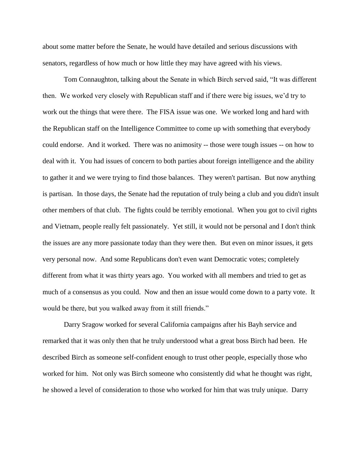about some matter before the Senate, he would have detailed and serious discussions with senators, regardless of how much or how little they may have agreed with his views.

Tom Connaughton, talking about the Senate in which Birch served said, "It was different then. We worked very closely with Republican staff and if there were big issues, we'd try to work out the things that were there. The FISA issue was one. We worked long and hard with the Republican staff on the Intelligence Committee to come up with something that everybody could endorse. And it worked. There was no animosity -- those were tough issues -- on how to deal with it. You had issues of concern to both parties about foreign intelligence and the ability to gather it and we were trying to find those balances. They weren't partisan. But now anything is partisan. In those days, the Senate had the reputation of truly being a club and you didn't insult other members of that club. The fights could be terribly emotional. When you got to civil rights and Vietnam, people really felt passionately. Yet still, it would not be personal and I don't think the issues are any more passionate today than they were then. But even on minor issues, it gets very personal now. And some Republicans don't even want Democratic votes; completely different from what it was thirty years ago. You worked with all members and tried to get as much of a consensus as you could. Now and then an issue would come down to a party vote. It would be there, but you walked away from it still friends."

Darry Sragow worked for several California campaigns after his Bayh service and remarked that it was only then that he truly understood what a great boss Birch had been. He described Birch as someone self-confident enough to trust other people, especially those who worked for him. Not only was Birch someone who consistently did what he thought was right, he showed a level of consideration to those who worked for him that was truly unique. Darry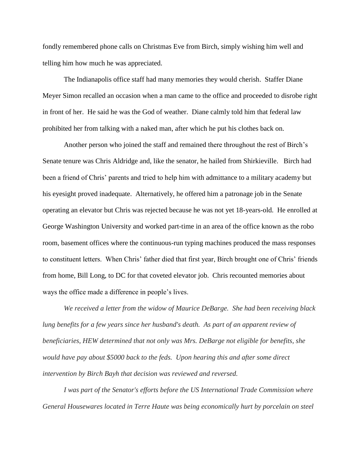fondly remembered phone calls on Christmas Eve from Birch, simply wishing him well and telling him how much he was appreciated.

The Indianapolis office staff had many memories they would cherish. Staffer Diane Meyer Simon recalled an occasion when a man came to the office and proceeded to disrobe right in front of her. He said he was the God of weather. Diane calmly told him that federal law prohibited her from talking with a naked man, after which he put his clothes back on.

Another person who joined the staff and remained there throughout the rest of Birch's Senate tenure was Chris Aldridge and, like the senator, he hailed from Shirkieville. Birch had been a friend of Chris' parents and tried to help him with admittance to a military academy but his eyesight proved inadequate. Alternatively, he offered him a patronage job in the Senate operating an elevator but Chris was rejected because he was not yet 18-years-old. He enrolled at George Washington University and worked part-time in an area of the office known as the robo room, basement offices where the continuous-run typing machines produced the mass responses to constituent letters. When Chris' father died that first year, Birch brought one of Chris' friends from home, Bill Long, to DC for that coveted elevator job. Chris recounted memories about ways the office made a difference in people's lives.

*We received a letter from the widow of Maurice DeBarge. She had been receiving black lung benefits for a few years since her husband's death. As part of an apparent review of beneficiaries, HEW determined that not only was Mrs. DeBarge not eligible for benefits, she would have pay about \$5000 back to the feds. Upon hearing this and after some direct intervention by Birch Bayh that decision was reviewed and reversed.*

*I was part of the Senator's efforts before the US International Trade Commission where General Housewares located in Terre Haute was being economically hurt by porcelain on steel*